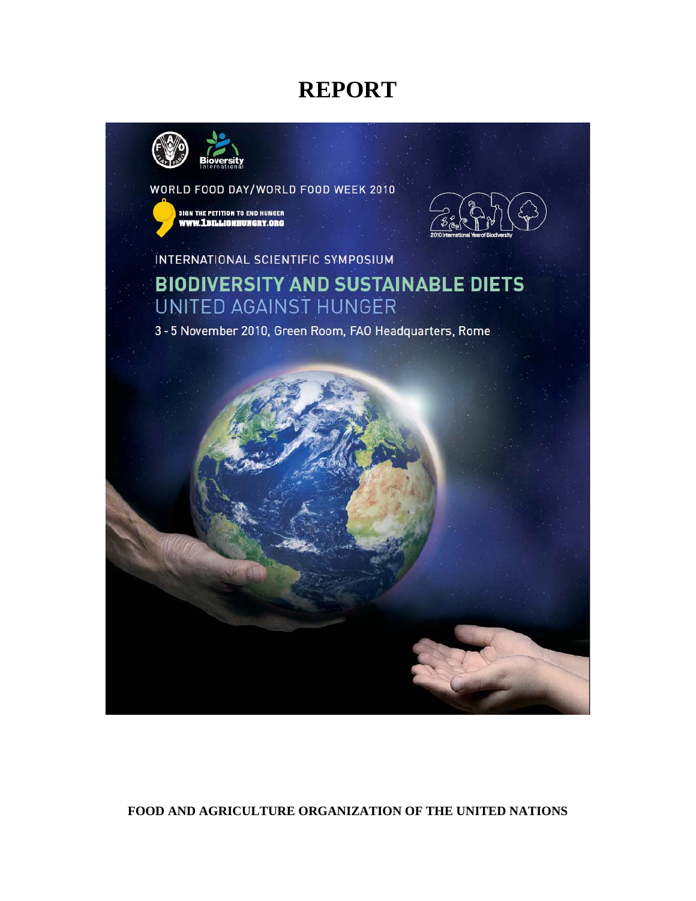# **REPORT**



WORLD FOOD DAY/WORLD FOOD WEEK 2010





INTERNATIONAL SCIENTIFIC SYMPOSIUM

**BIODIVERSITY AND SUSTAINABLE DIETS UNITED AGAINST HUNGER** 

3-5 November 2010, Green Room, FAO Headquarters, Rome



## **FOOD AND AGRICULTURE ORGANIZATION OF THE UNITED NATIONS**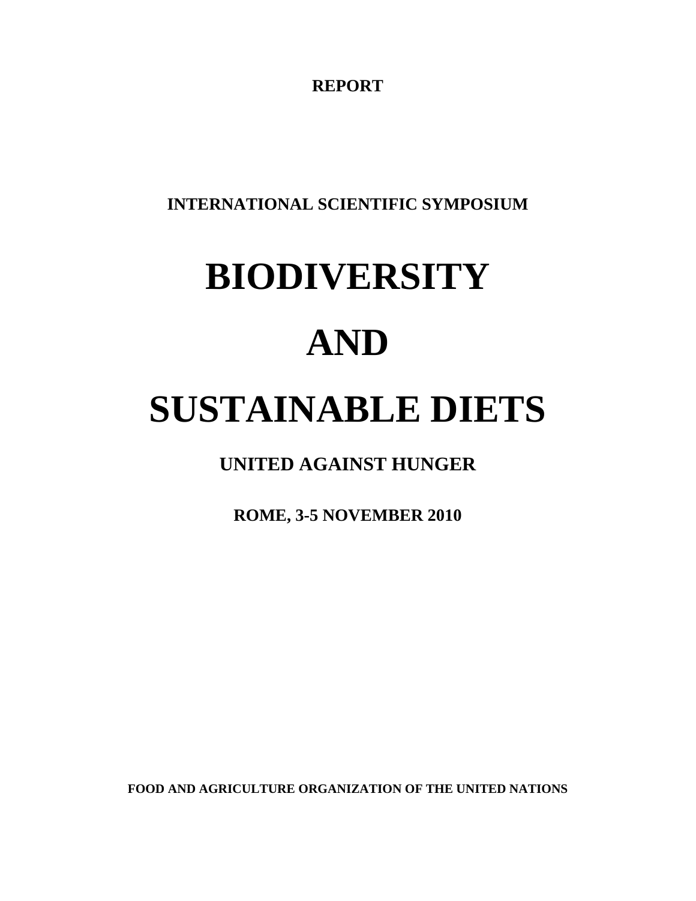**REPORT** 

**INTERNATIONAL SCIENTIFIC SYMPOSIUM** 

# **BIODIVERSITY AND SUSTAINABLE DIETS**

**UNITED AGAINST HUNGER** 

**ROME, 3-5 NOVEMBER 2010** 

**FOOD AND AGRICULTURE ORGANIZATION OF THE UNITED NATIONS**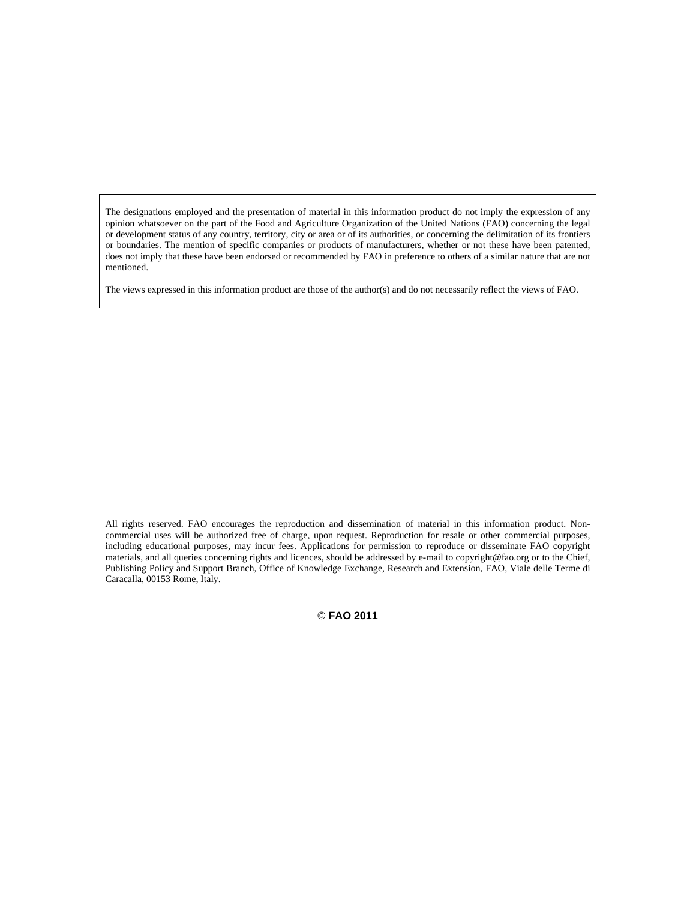The designations employed and the presentation of material in this information product do not imply the expression of any opinion whatsoever on the part of the Food and Agriculture Organization of the United Nations (FAO) concerning the legal or development status of any country, territory, city or area or of its authorities, or concerning the delimitation of its frontiers or boundaries. The mention of specific companies or products of manufacturers, whether or not these have been patented, does not imply that these have been endorsed or recommended by FAO in preference to others of a similar nature that are not mentioned.

The views expressed in this information product are those of the author(s) and do not necessarily reflect the views of FAO.

All rights reserved. FAO encourages the reproduction and dissemination of material in this information product. Noncommercial uses will be authorized free of charge, upon request. Reproduction for resale or other commercial purposes, including educational purposes, may incur fees. Applications for permission to reproduce or disseminate FAO copyright materials, and all queries concerning rights and licences, should be addressed by e-mail to copyright@fao.org or to the Chief, Publishing Policy and Support Branch, Office of Knowledge Exchange, Research and Extension, FAO, Viale delle Terme di Caracalla, 00153 Rome, Italy.

© **FAO 2011**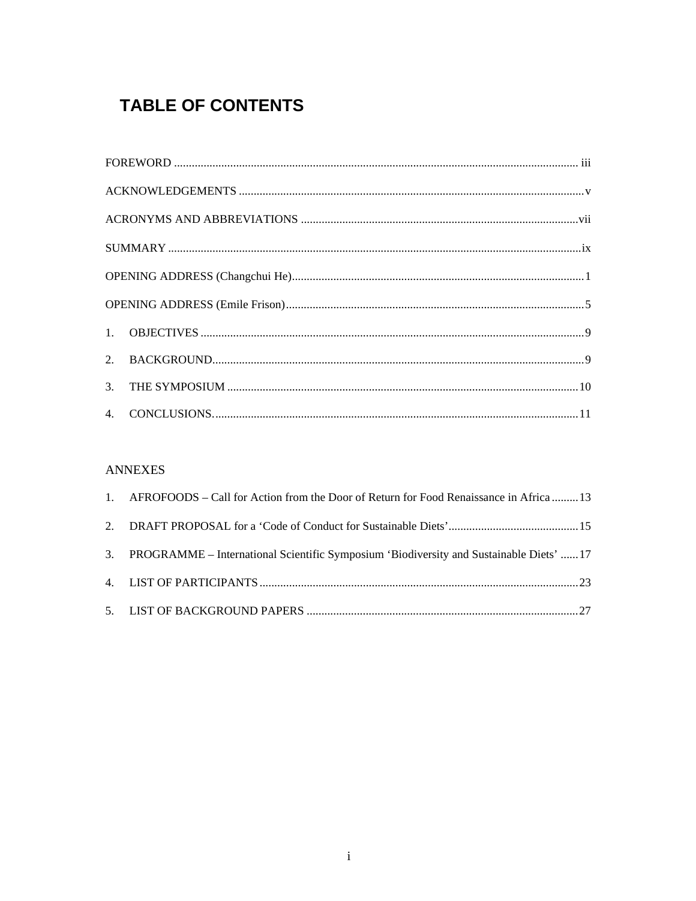## **TABLE OF CONTENTS**

## **ANNEXES**

| 1. AFROFOODS – Call for Action from the Door of Return for Food Renaissance in Africa  13  |
|--------------------------------------------------------------------------------------------|
|                                                                                            |
| 3. PROGRAMME – International Scientific Symposium 'Biodiversity and Sustainable Diets'  17 |
|                                                                                            |
|                                                                                            |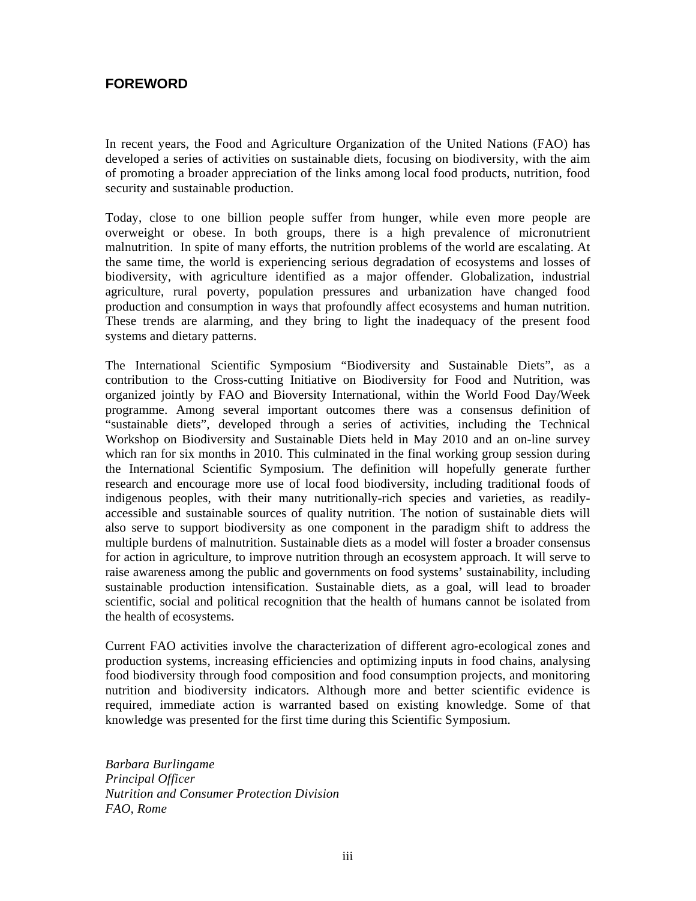## **FOREWORD**

In recent years, the Food and Agriculture Organization of the United Nations (FAO) has developed a series of activities on sustainable diets, focusing on biodiversity, with the aim of promoting a broader appreciation of the links among local food products, nutrition, food security and sustainable production.

Today, close to one billion people suffer from hunger, while even more people are overweight or obese. In both groups, there is a high prevalence of micronutrient malnutrition. In spite of many efforts, the nutrition problems of the world are escalating. At the same time, the world is experiencing serious degradation of ecosystems and losses of biodiversity, with agriculture identified as a major offender. Globalization, industrial agriculture, rural poverty, population pressures and urbanization have changed food production and consumption in ways that profoundly affect ecosystems and human nutrition. These trends are alarming, and they bring to light the inadequacy of the present food systems and dietary patterns.

The International Scientific Symposium "Biodiversity and Sustainable Diets", as a contribution to the Cross-cutting Initiative on Biodiversity for Food and Nutrition, was organized jointly by FAO and Bioversity International, within the World Food Day/Week programme. Among several important outcomes there was a consensus definition of "sustainable diets", developed through a series of activities, including the Technical Workshop on Biodiversity and Sustainable Diets held in May 2010 and an on-line survey which ran for six months in 2010. This culminated in the final working group session during the International Scientific Symposium. The definition will hopefully generate further research and encourage more use of local food biodiversity, including traditional foods of indigenous peoples, with their many nutritionally-rich species and varieties, as readilyaccessible and sustainable sources of quality nutrition. The notion of sustainable diets will also serve to support biodiversity as one component in the paradigm shift to address the multiple burdens of malnutrition. Sustainable diets as a model will foster a broader consensus for action in agriculture, to improve nutrition through an ecosystem approach. It will serve to raise awareness among the public and governments on food systems' sustainability, including sustainable production intensification. Sustainable diets, as a goal, will lead to broader scientific, social and political recognition that the health of humans cannot be isolated from the health of ecosystems.

Current FAO activities involve the characterization of different agro-ecological zones and production systems, increasing efficiencies and optimizing inputs in food chains, analysing food biodiversity through food composition and food consumption projects, and monitoring nutrition and biodiversity indicators. Although more and better scientific evidence is required, immediate action is warranted based on existing knowledge. Some of that knowledge was presented for the first time during this Scientific Symposium.

*Barbara Burlingame Principal Officer Nutrition and Consumer Protection Division FAO, Rome*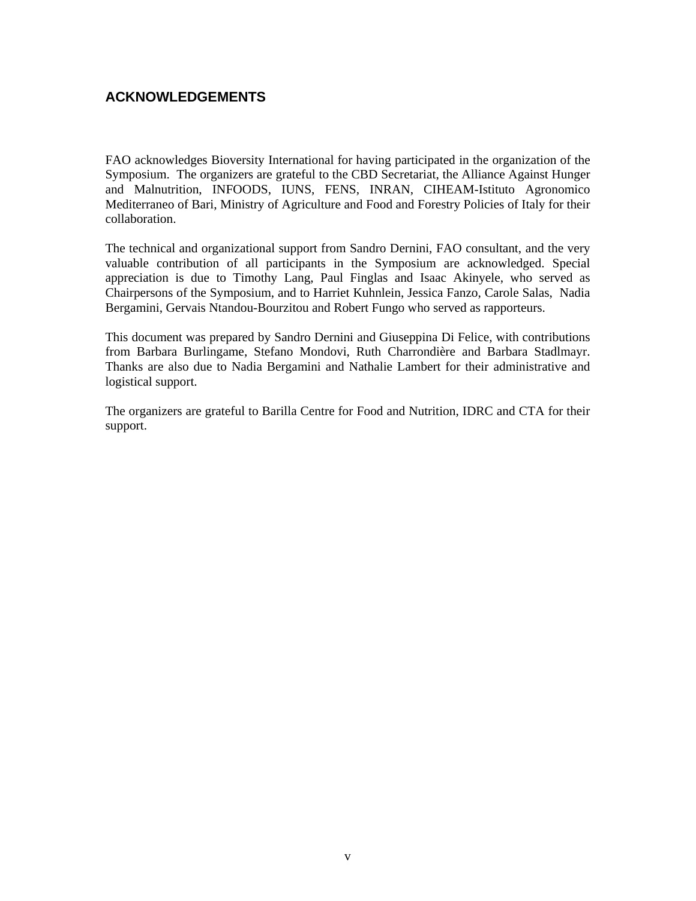## **ACKNOWLEDGEMENTS**

FAO acknowledges Bioversity International for having participated in the organization of the Symposium. The organizers are grateful to the CBD Secretariat, the Alliance Against Hunger and Malnutrition, INFOODS, IUNS, FENS, INRAN, CIHEAM-Istituto Agronomico Mediterraneo of Bari, Ministry of Agriculture and Food and Forestry Policies of Italy for their collaboration.

The technical and organizational support from Sandro Dernini, FAO consultant, and the very valuable contribution of all participants in the Symposium are acknowledged. Special appreciation is due to Timothy Lang, Paul Finglas and Isaac Akinyele, who served as Chairpersons of the Symposium, and to Harriet Kuhnlein, Jessica Fanzo, Carole Salas, Nadia Bergamini, Gervais Ntandou-Bourzitou and Robert Fungo who served as rapporteurs.

This document was prepared by Sandro Dernini and Giuseppina Di Felice, with contributions from Barbara Burlingame, Stefano Mondovi, Ruth Charrondière and Barbara Stadlmayr. Thanks are also due to Nadia Bergamini and Nathalie Lambert for their administrative and logistical support.

The organizers are grateful to Barilla Centre for Food and Nutrition, IDRC and CTA for their support.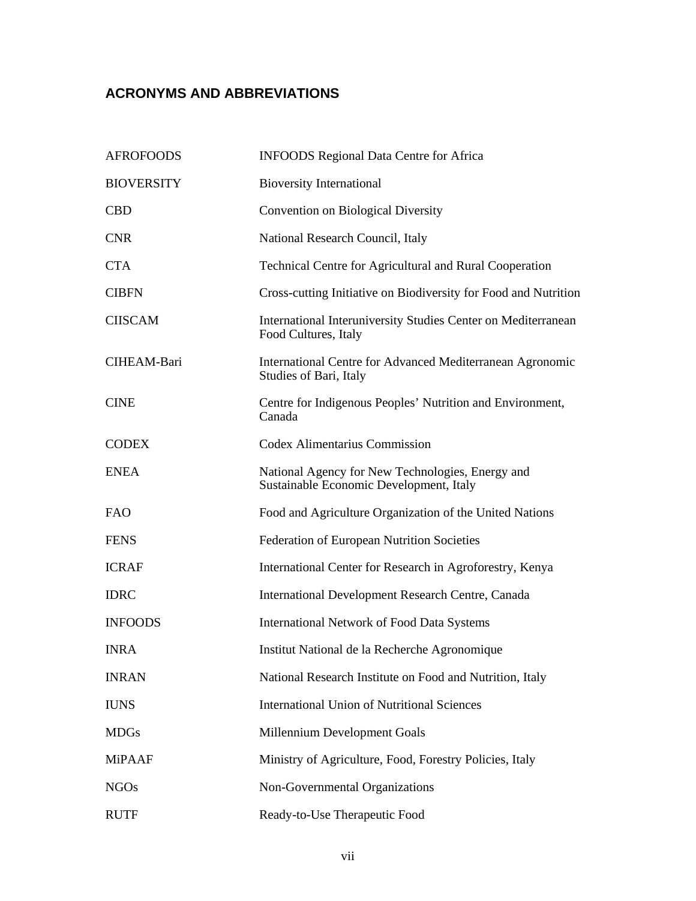## **ACRONYMS AND ABBREVIATIONS**

| <b>AFROFOODS</b>  | <b>INFOODS</b> Regional Data Centre for Africa                                              |
|-------------------|---------------------------------------------------------------------------------------------|
| <b>BIOVERSITY</b> | <b>Bioversity International</b>                                                             |
| <b>CBD</b>        | <b>Convention on Biological Diversity</b>                                                   |
| <b>CNR</b>        | National Research Council, Italy                                                            |
| <b>CTA</b>        | Technical Centre for Agricultural and Rural Cooperation                                     |
| <b>CIBFN</b>      | Cross-cutting Initiative on Biodiversity for Food and Nutrition                             |
| <b>CIISCAM</b>    | International Interuniversity Studies Center on Mediterranean<br>Food Cultures, Italy       |
| CIHEAM-Bari       | International Centre for Advanced Mediterranean Agronomic<br>Studies of Bari, Italy         |
| <b>CINE</b>       | Centre for Indigenous Peoples' Nutrition and Environment,<br>Canada                         |
| <b>CODEX</b>      | Codex Alimentarius Commission                                                               |
| <b>ENEA</b>       | National Agency for New Technologies, Energy and<br>Sustainable Economic Development, Italy |
| <b>FAO</b>        | Food and Agriculture Organization of the United Nations                                     |
| <b>FENS</b>       | Federation of European Nutrition Societies                                                  |
| <b>ICRAF</b>      | International Center for Research in Agroforestry, Kenya                                    |
| <b>IDRC</b>       | International Development Research Centre, Canada                                           |
| <b>INFOODS</b>    | <b>International Network of Food Data Systems</b>                                           |
| <b>INRA</b>       | Institut National de la Recherche Agronomique                                               |
| <b>INRAN</b>      | National Research Institute on Food and Nutrition, Italy                                    |
| <b>IUNS</b>       | <b>International Union of Nutritional Sciences</b>                                          |
| <b>MDGs</b>       | Millennium Development Goals                                                                |
| <b>MiPAAF</b>     | Ministry of Agriculture, Food, Forestry Policies, Italy                                     |
| <b>NGOs</b>       | Non-Governmental Organizations                                                              |
| <b>RUTF</b>       | Ready-to-Use Therapeutic Food                                                               |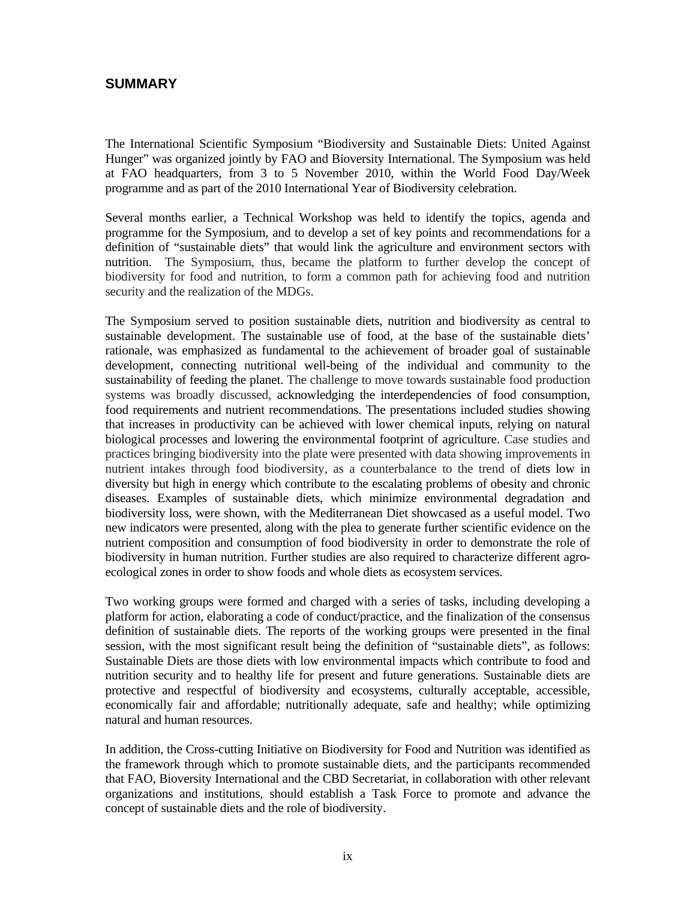## **SUMMARY**

The International Scientific Symposium "Biodiversity and Sustainable Diets: United Against Hunger" was organized jointly by FAO and Bioversity International. The Symposium was held at FAO headquarters, from 3 to 5 November 2010, within the World Food Day/Week programme and as part of the 2010 International Year of Biodiversity celebration.

Several months earlier, a Technical Workshop was held to identify the topics, agenda and programme for the Symposium, and to develop a set of key points and recommendations for a definition of "sustainable diets" that would link the agriculture and environment sectors with nutrition. The Symposium, thus, became the platform to further develop the concept of biodiversity for food and nutrition, to form a common path for achieving food and nutrition security and the realization of the MDGs.

The Symposium served to position sustainable diets, nutrition and biodiversity as central to sustainable development. The sustainable use of food, at the base of the sustainable diets' rationale, was emphasized as fundamental to the achievement of broader goal of sustainable development, connecting nutritional well-being of the individual and community to the sustainability of feeding the planet. The challenge to move towards sustainable food production systems was broadly discussed, acknowledging the interdependencies of food consumption, food requirements and nutrient recommendations. The presentations included studies showing that increases in productivity can be achieved with lower chemical inputs, relying on natural biological processes and lowering the environmental footprint of agriculture. Case studies and practices bringing biodiversity into the plate were presented with data showing improvements in nutrient intakes through food biodiversity, as a counterbalance to the trend of diets low in diversity but high in energy which contribute to the escalating problems of obesity and chronic diseases. Examples of sustainable diets, which minimize environmental degradation and biodiversity loss, were shown, with the Mediterranean Diet showcased as a useful model. Two new indicators were presented, along with the plea to generate further scientific evidence on the nutrient composition and consumption of food biodiversity in order to demonstrate the role of biodiversity in human nutrition. Further studies are also required to characterize different agroecological zones in order to show foods and whole diets as ecosystem services.

Two working groups were formed and charged with a series of tasks, including developing a platform for action, elaborating a code of conduct/practice, and the finalization of the consensus definition of sustainable diets. The reports of the working groups were presented in the final session, with the most significant result being the definition of "sustainable diets", as follows: Sustainable Diets are those diets with low environmental impacts which contribute to food and nutrition security and to healthy life for present and future generations. Sustainable diets are protective and respectful of biodiversity and ecosystems, culturally acceptable, accessible, economically fair and affordable; nutritionally adequate, safe and healthy; while optimizing natural and human resources.

In addition, the Cross-cutting Initiative on Biodiversity for Food and Nutrition was identified as the framework through which to promote sustainable diets, and the participants recommended that FAO, Bioversity International and the CBD Secretariat, in collaboration with other relevant organizations and institutions, should establish a Task Force to promote and advance the concept of sustainable diets and the role of biodiversity.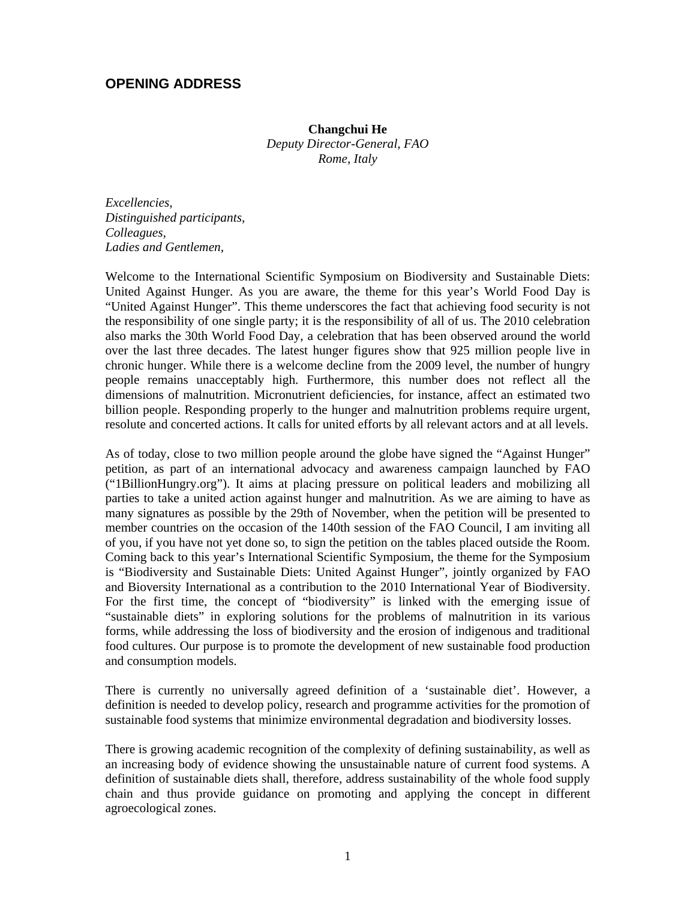## **OPENING ADDRESS**

#### **Changchui He**

*Deputy Director-General, FAO Rome, Italy* 

*Excellencies, Distinguished participants, Colleagues, Ladies and Gentlemen,* 

Welcome to the International Scientific Symposium on Biodiversity and Sustainable Diets: United Against Hunger. As you are aware, the theme for this year's World Food Day is "United Against Hunger". This theme underscores the fact that achieving food security is not the responsibility of one single party; it is the responsibility of all of us. The 2010 celebration also marks the 30th World Food Day, a celebration that has been observed around the world over the last three decades. The latest hunger figures show that 925 million people live in chronic hunger. While there is a welcome decline from the 2009 level, the number of hungry people remains unacceptably high. Furthermore, this number does not reflect all the dimensions of malnutrition. Micronutrient deficiencies, for instance, affect an estimated two billion people. Responding properly to the hunger and malnutrition problems require urgent, resolute and concerted actions. It calls for united efforts by all relevant actors and at all levels.

As of today, close to two million people around the globe have signed the "Against Hunger" petition, as part of an international advocacy and awareness campaign launched by FAO ("1BillionHungry.org"). It aims at placing pressure on political leaders and mobilizing all parties to take a united action against hunger and malnutrition. As we are aiming to have as many signatures as possible by the 29th of November, when the petition will be presented to member countries on the occasion of the 140th session of the FAO Council, I am inviting all of you, if you have not yet done so, to sign the petition on the tables placed outside the Room. Coming back to this year's International Scientific Symposium, the theme for the Symposium is "Biodiversity and Sustainable Diets: United Against Hunger", jointly organized by FAO and Bioversity International as a contribution to the 2010 International Year of Biodiversity. For the first time, the concept of "biodiversity" is linked with the emerging issue of "sustainable diets" in exploring solutions for the problems of malnutrition in its various forms, while addressing the loss of biodiversity and the erosion of indigenous and traditional food cultures. Our purpose is to promote the development of new sustainable food production and consumption models.

There is currently no universally agreed definition of a 'sustainable diet'. However, a definition is needed to develop policy, research and programme activities for the promotion of sustainable food systems that minimize environmental degradation and biodiversity losses.

There is growing academic recognition of the complexity of defining sustainability, as well as an increasing body of evidence showing the unsustainable nature of current food systems. A definition of sustainable diets shall, therefore, address sustainability of the whole food supply chain and thus provide guidance on promoting and applying the concept in different agroecological zones.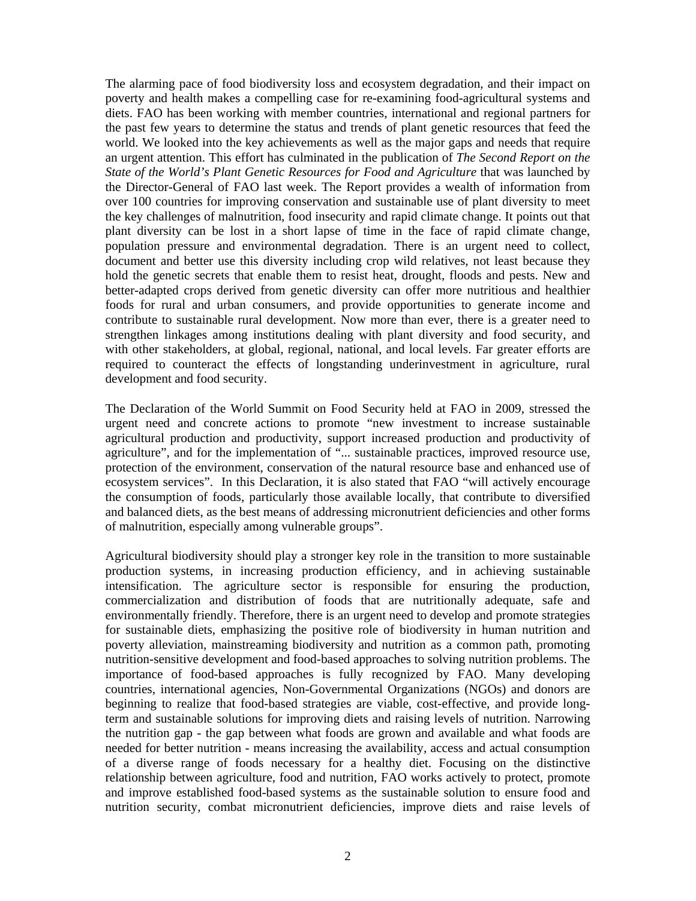The alarming pace of food biodiversity loss and ecosystem degradation, and their impact on poverty and health makes a compelling case for re-examining food-agricultural systems and diets. FAO has been working with member countries, international and regional partners for the past few years to determine the status and trends of plant genetic resources that feed the world. We looked into the key achievements as well as the major gaps and needs that require an urgent attention. This effort has culminated in the publication of *The Second Report on the State of the World's Plant Genetic Resources for Food and Agriculture* that was launched by the Director-General of FAO last week. The Report provides a wealth of information from over 100 countries for improving conservation and sustainable use of plant diversity to meet the key challenges of malnutrition, food insecurity and rapid climate change. It points out that plant diversity can be lost in a short lapse of time in the face of rapid climate change, population pressure and environmental degradation. There is an urgent need to collect, document and better use this diversity including crop wild relatives, not least because they hold the genetic secrets that enable them to resist heat, drought, floods and pests. New and better-adapted crops derived from genetic diversity can offer more nutritious and healthier foods for rural and urban consumers, and provide opportunities to generate income and contribute to sustainable rural development. Now more than ever, there is a greater need to strengthen linkages among institutions dealing with plant diversity and food security, and with other stakeholders, at global, regional, national, and local levels. Far greater efforts are required to counteract the effects of longstanding underinvestment in agriculture, rural development and food security.

The Declaration of the World Summit on Food Security held at FAO in 2009, stressed the urgent need and concrete actions to promote "new investment to increase sustainable agricultural production and productivity, support increased production and productivity of agriculture", and for the implementation of "... sustainable practices, improved resource use, protection of the environment, conservation of the natural resource base and enhanced use of ecosystem services". In this Declaration, it is also stated that FAO "will actively encourage the consumption of foods, particularly those available locally, that contribute to diversified and balanced diets, as the best means of addressing micronutrient deficiencies and other forms of malnutrition, especially among vulnerable groups".

Agricultural biodiversity should play a stronger key role in the transition to more sustainable production systems, in increasing production efficiency, and in achieving sustainable intensification. The agriculture sector is responsible for ensuring the production, commercialization and distribution of foods that are nutritionally adequate, safe and environmentally friendly. Therefore, there is an urgent need to develop and promote strategies for sustainable diets, emphasizing the positive role of biodiversity in human nutrition and poverty alleviation, mainstreaming biodiversity and nutrition as a common path, promoting nutrition-sensitive development and food-based approaches to solving nutrition problems. The importance of food-based approaches is fully recognized by FAO. Many developing countries, international agencies, Non-Governmental Organizations (NGOs) and donors are beginning to realize that food-based strategies are viable, cost-effective, and provide longterm and sustainable solutions for improving diets and raising levels of nutrition. Narrowing the nutrition gap - the gap between what foods are grown and available and what foods are needed for better nutrition - means increasing the availability, access and actual consumption of a diverse range of foods necessary for a healthy diet. Focusing on the distinctive relationship between agriculture, food and nutrition, FAO works actively to protect, promote and improve established food-based systems as the sustainable solution to ensure food and nutrition security, combat micronutrient deficiencies, improve diets and raise levels of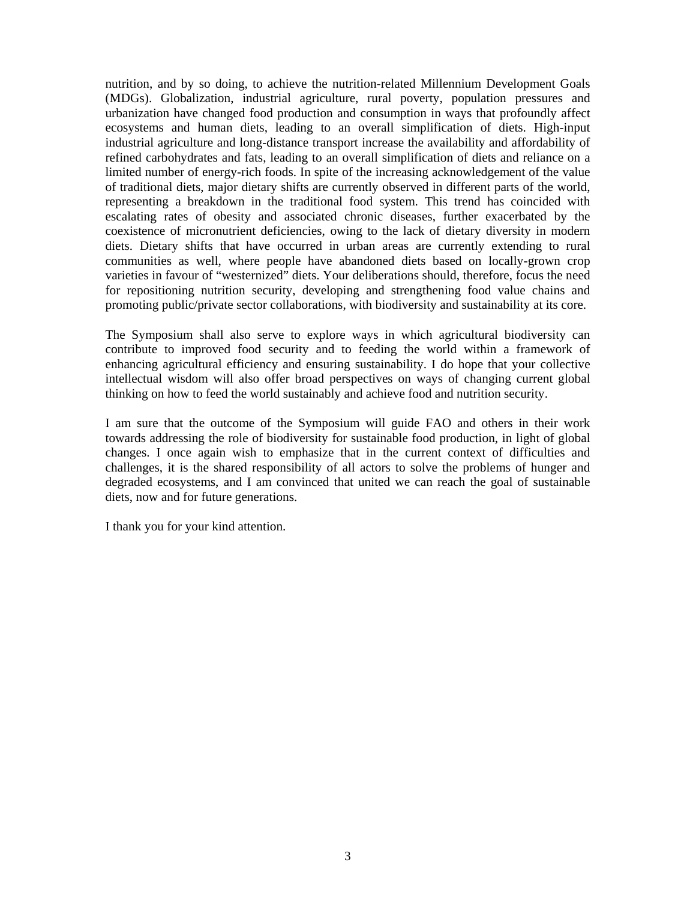nutrition, and by so doing, to achieve the nutrition-related Millennium Development Goals (MDGs). Globalization, industrial agriculture, rural poverty, population pressures and urbanization have changed food production and consumption in ways that profoundly affect ecosystems and human diets, leading to an overall simplification of diets. High-input industrial agriculture and long-distance transport increase the availability and affordability of refined carbohydrates and fats, leading to an overall simplification of diets and reliance on a limited number of energy-rich foods. In spite of the increasing acknowledgement of the value of traditional diets, major dietary shifts are currently observed in different parts of the world, representing a breakdown in the traditional food system. This trend has coincided with escalating rates of obesity and associated chronic diseases, further exacerbated by the coexistence of micronutrient deficiencies, owing to the lack of dietary diversity in modern diets. Dietary shifts that have occurred in urban areas are currently extending to rural communities as well, where people have abandoned diets based on locally-grown crop varieties in favour of "westernized" diets. Your deliberations should, therefore, focus the need for repositioning nutrition security, developing and strengthening food value chains and promoting public/private sector collaborations, with biodiversity and sustainability at its core.

The Symposium shall also serve to explore ways in which agricultural biodiversity can contribute to improved food security and to feeding the world within a framework of enhancing agricultural efficiency and ensuring sustainability. I do hope that your collective intellectual wisdom will also offer broad perspectives on ways of changing current global thinking on how to feed the world sustainably and achieve food and nutrition security.

I am sure that the outcome of the Symposium will guide FAO and others in their work towards addressing the role of biodiversity for sustainable food production, in light of global changes. I once again wish to emphasize that in the current context of difficulties and challenges, it is the shared responsibility of all actors to solve the problems of hunger and degraded ecosystems, and I am convinced that united we can reach the goal of sustainable diets, now and for future generations.

I thank you for your kind attention.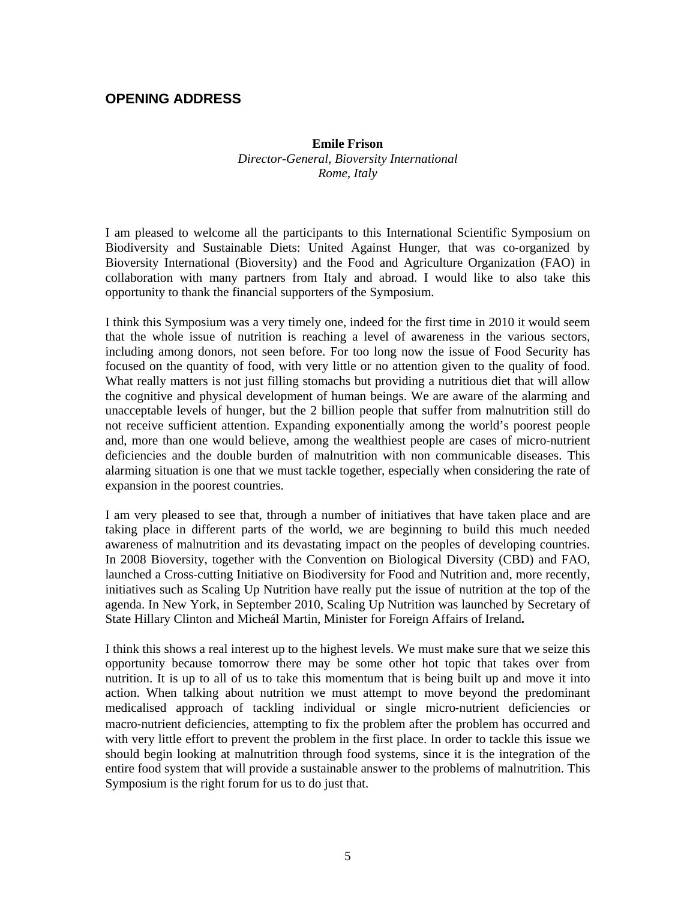## **OPENING ADDRESS**

## **Emile Frison**  *Director-General, Bioversity International Rome, Italy*

I am pleased to welcome all the participants to this International Scientific Symposium on Biodiversity and Sustainable Diets: United Against Hunger, that was co‐organized by Bioversity International (Bioversity) and the Food and Agriculture Organization (FAO) in collaboration with many partners from Italy and abroad. I would like to also take this opportunity to thank the financial supporters of the Symposium.

I think this Symposium was a very timely one, indeed for the first time in 2010 it would seem that the whole issue of nutrition is reaching a level of awareness in the various sectors, including among donors, not seen before. For too long now the issue of Food Security has focused on the quantity of food, with very little or no attention given to the quality of food. What really matters is not just filling stomachs but providing a nutritious diet that will allow the cognitive and physical development of human beings. We are aware of the alarming and unacceptable levels of hunger, but the 2 billion people that suffer from malnutrition still do not receive sufficient attention. Expanding exponentially among the world's poorest people and, more than one would believe, among the wealthiest people are cases of micro-nutrient deficiencies and the double burden of malnutrition with non communicable diseases. This alarming situation is one that we must tackle together, especially when considering the rate of expansion in the poorest countries.

I am very pleased to see that, through a number of initiatives that have taken place and are taking place in different parts of the world, we are beginning to build this much needed awareness of malnutrition and its devastating impact on the peoples of developing countries. In 2008 Bioversity, together with the Convention on Biological Diversity (CBD) and FAO, launched a Cross-cutting Initiative on Biodiversity for Food and Nutrition and, more recently, initiatives such as Scaling Up Nutrition have really put the issue of nutrition at the top of the agenda. In New York, in September 2010, Scaling Up Nutrition was launched by Secretary of State Hillary Clinton and Micheál Martin, Minister for Foreign Affairs of Ireland**.** 

I think this shows a real interest up to the highest levels. We must make sure that we seize this opportunity because tomorrow there may be some other hot topic that takes over from nutrition. It is up to all of us to take this momentum that is being built up and move it into action. When talking about nutrition we must attempt to move beyond the predominant medicalised approach of tackling individual or single micro-nutrient deficiencies or macro‐nutrient deficiencies, attempting to fix the problem after the problem has occurred and with very little effort to prevent the problem in the first place. In order to tackle this issue we should begin looking at malnutrition through food systems, since it is the integration of the entire food system that will provide a sustainable answer to the problems of malnutrition. This Symposium is the right forum for us to do just that.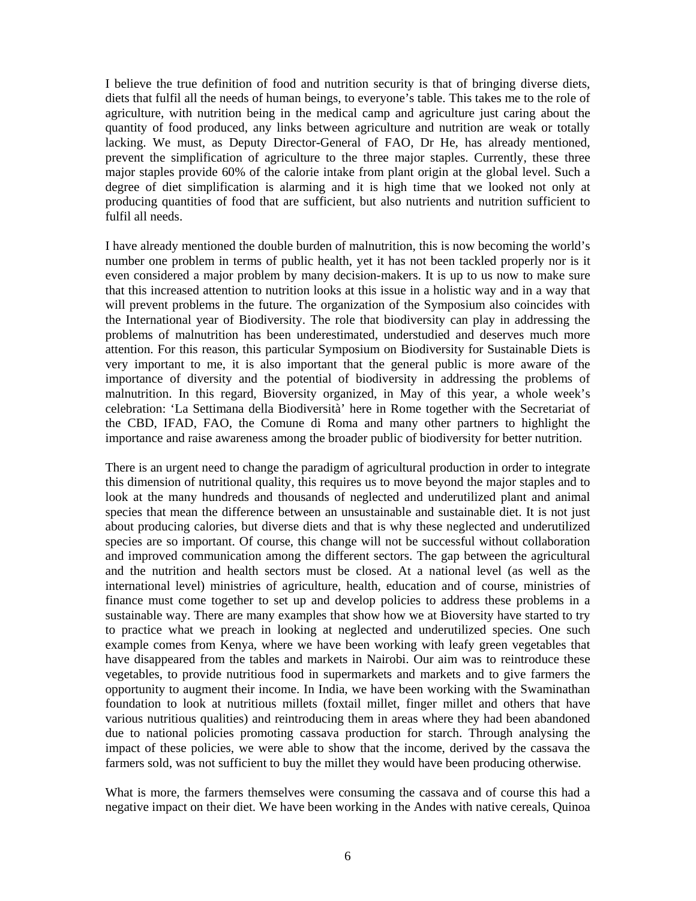I believe the true definition of food and nutrition security is that of bringing diverse diets, diets that fulfil all the needs of human beings, to everyone's table. This takes me to the role of agriculture, with nutrition being in the medical camp and agriculture just caring about the quantity of food produced, any links between agriculture and nutrition are weak or totally lacking. We must, as Deputy Director-General of FAO, Dr He, has already mentioned, prevent the simplification of agriculture to the three major staples. Currently, these three major staples provide 60% of the calorie intake from plant origin at the global level. Such a degree of diet simplification is alarming and it is high time that we looked not only at producing quantities of food that are sufficient, but also nutrients and nutrition sufficient to fulfil all needs.

I have already mentioned the double burden of malnutrition, this is now becoming the world's number one problem in terms of public health, yet it has not been tackled properly nor is it even considered a major problem by many decision-makers. It is up to us now to make sure that this increased attention to nutrition looks at this issue in a holistic way and in a way that will prevent problems in the future. The organization of the Symposium also coincides with the International year of Biodiversity. The role that biodiversity can play in addressing the problems of malnutrition has been underestimated, understudied and deserves much more attention. For this reason, this particular Symposium on Biodiversity for Sustainable Diets is very important to me, it is also important that the general public is more aware of the importance of diversity and the potential of biodiversity in addressing the problems of malnutrition. In this regard, Bioversity organized, in May of this year, a whole week's celebration: 'La Settimana della Biodiversità' here in Rome together with the Secretariat of the CBD, IFAD, FAO, the Comune di Roma and many other partners to highlight the importance and raise awareness among the broader public of biodiversity for better nutrition.

There is an urgent need to change the paradigm of agricultural production in order to integrate this dimension of nutritional quality, this requires us to move beyond the major staples and to look at the many hundreds and thousands of neglected and underutilized plant and animal species that mean the difference between an unsustainable and sustainable diet. It is not just about producing calories, but diverse diets and that is why these neglected and underutilized species are so important. Of course, this change will not be successful without collaboration and improved communication among the different sectors. The gap between the agricultural and the nutrition and health sectors must be closed. At a national level (as well as the international level) ministries of agriculture, health, education and of course, ministries of finance must come together to set up and develop policies to address these problems in a sustainable way. There are many examples that show how we at Bioversity have started to try to practice what we preach in looking at neglected and underutilized species. One such example comes from Kenya, where we have been working with leafy green vegetables that have disappeared from the tables and markets in Nairobi. Our aim was to reintroduce these vegetables, to provide nutritious food in supermarkets and markets and to give farmers the opportunity to augment their income. In India, we have been working with the Swaminathan foundation to look at nutritious millets (foxtail millet, finger millet and others that have various nutritious qualities) and reintroducing them in areas where they had been abandoned due to national policies promoting cassava production for starch. Through analysing the impact of these policies, we were able to show that the income, derived by the cassava the farmers sold, was not sufficient to buy the millet they would have been producing otherwise.

What is more, the farmers themselves were consuming the cassava and of course this had a negative impact on their diet. We have been working in the Andes with native cereals, Quinoa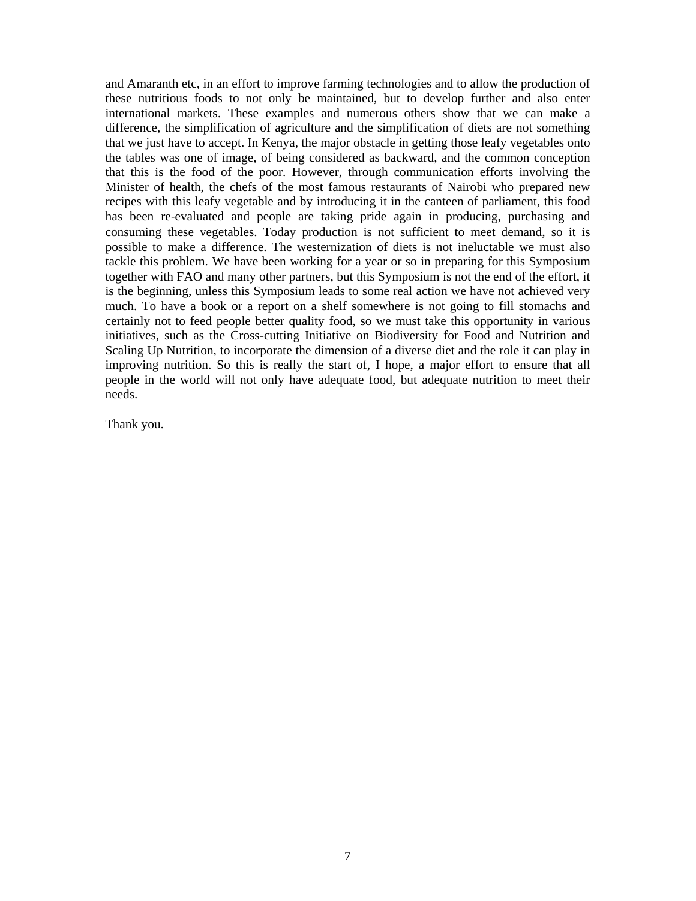and Amaranth etc, in an effort to improve farming technologies and to allow the production of these nutritious foods to not only be maintained, but to develop further and also enter international markets. These examples and numerous others show that we can make a difference, the simplification of agriculture and the simplification of diets are not something that we just have to accept. In Kenya, the major obstacle in getting those leafy vegetables onto the tables was one of image, of being considered as backward, and the common conception that this is the food of the poor. However, through communication efforts involving the Minister of health, the chefs of the most famous restaurants of Nairobi who prepared new recipes with this leafy vegetable and by introducing it in the canteen of parliament, this food has been re-evaluated and people are taking pride again in producing, purchasing and consuming these vegetables. Today production is not sufficient to meet demand, so it is possible to make a difference. The westernization of diets is not ineluctable we must also tackle this problem. We have been working for a year or so in preparing for this Symposium together with FAO and many other partners, but this Symposium is not the end of the effort, it is the beginning, unless this Symposium leads to some real action we have not achieved very much. To have a book or a report on a shelf somewhere is not going to fill stomachs and certainly not to feed people better quality food, so we must take this opportunity in various initiatives, such as the Cross-cutting Initiative on Biodiversity for Food and Nutrition and Scaling Up Nutrition, to incorporate the dimension of a diverse diet and the role it can play in improving nutrition. So this is really the start of, I hope, a major effort to ensure that all people in the world will not only have adequate food, but adequate nutrition to meet their needs.

Thank you.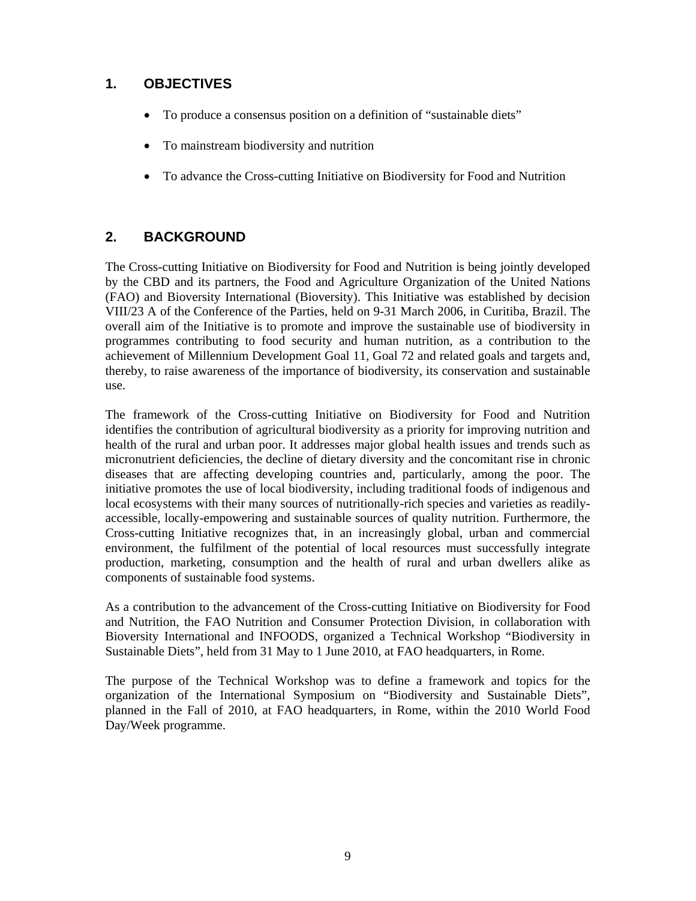## **1. OBJECTIVES**

- To produce a consensus position on a definition of "sustainable diets"
- To mainstream biodiversity and nutrition
- To advance the Cross-cutting Initiative on Biodiversity for Food and Nutrition

## **2. BACKGROUND**

The Cross-cutting Initiative on Biodiversity for Food and Nutrition is being jointly developed by the CBD and its partners, the Food and Agriculture Organization of the United Nations (FAO) and Bioversity International (Bioversity). This Initiative was established by decision VIII/23 A of the Conference of the Parties, held on 9-31 March 2006, in Curitiba, Brazil. The overall aim of the Initiative is to promote and improve the sustainable use of biodiversity in programmes contributing to food security and human nutrition, as a contribution to the achievement of Millennium Development Goal 11, Goal 72 and related goals and targets and, thereby, to raise awareness of the importance of biodiversity, its conservation and sustainable use.

The framework of the Cross-cutting Initiative on Biodiversity for Food and Nutrition identifies the contribution of agricultural biodiversity as a priority for improving nutrition and health of the rural and urban poor. It addresses major global health issues and trends such as micronutrient deficiencies, the decline of dietary diversity and the concomitant rise in chronic diseases that are affecting developing countries and, particularly, among the poor. The initiative promotes the use of local biodiversity, including traditional foods of indigenous and local ecosystems with their many sources of nutritionally-rich species and varieties as readilyaccessible, locally-empowering and sustainable sources of quality nutrition. Furthermore, the Cross-cutting Initiative recognizes that, in an increasingly global, urban and commercial environment, the fulfilment of the potential of local resources must successfully integrate production, marketing, consumption and the health of rural and urban dwellers alike as components of sustainable food systems.

As a contribution to the advancement of the Cross-cutting Initiative on Biodiversity for Food and Nutrition, the FAO Nutrition and Consumer Protection Division, in collaboration with Bioversity International and INFOODS, organized a Technical Workshop "Biodiversity in Sustainable Diets", held from 31 May to 1 June 2010, at FAO headquarters, in Rome.

The purpose of the Technical Workshop was to define a framework and topics for the organization of the International Symposium on "Biodiversity and Sustainable Diets", planned in the Fall of 2010, at FAO headquarters, in Rome, within the 2010 World Food Day/Week programme.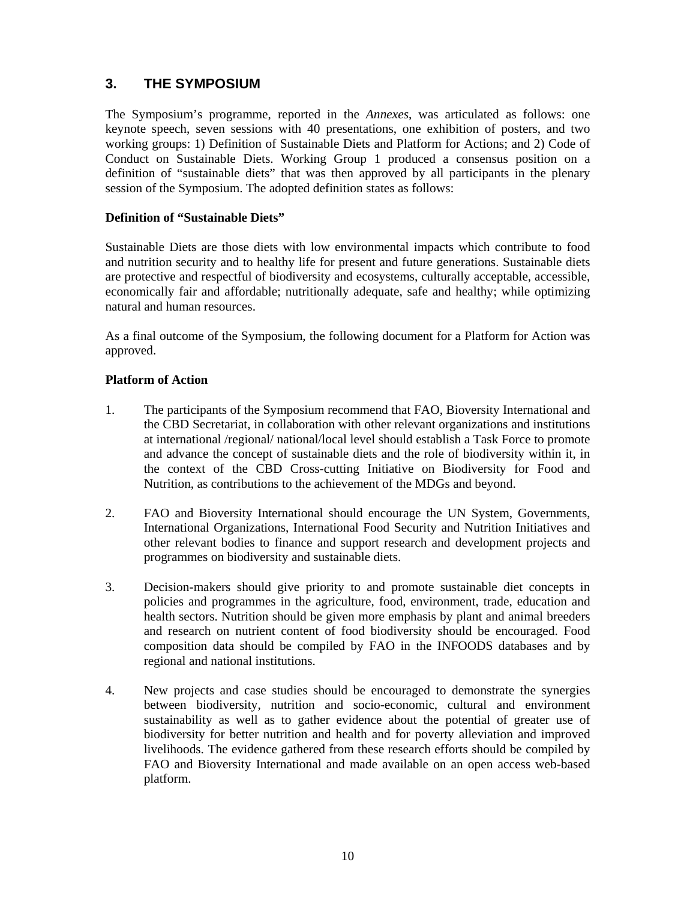## **3. THE SYMPOSIUM**

The Symposium's programme, reported in the *Annexes*, was articulated as follows: one keynote speech, seven sessions with 40 presentations, one exhibition of posters, and two working groups: 1) Definition of Sustainable Diets and Platform for Actions; and 2) Code of Conduct on Sustainable Diets. Working Group 1 produced a consensus position on a definition of "sustainable diets" that was then approved by all participants in the plenary session of the Symposium. The adopted definition states as follows:

### **Definition of "Sustainable Diets"**

Sustainable Diets are those diets with low environmental impacts which contribute to food and nutrition security and to healthy life for present and future generations. Sustainable diets are protective and respectful of biodiversity and ecosystems, culturally acceptable, accessible, economically fair and affordable; nutritionally adequate, safe and healthy; while optimizing natural and human resources.

As a final outcome of the Symposium, the following document for a Platform for Action was approved.

#### **Platform of Action**

- 1. The participants of the Symposium recommend that FAO, Bioversity International and the CBD Secretariat, in collaboration with other relevant organizations and institutions at international /regional/ national/local level should establish a Task Force to promote and advance the concept of sustainable diets and the role of biodiversity within it, in the context of the CBD Cross-cutting Initiative on Biodiversity for Food and Nutrition, as contributions to the achievement of the MDGs and beyond.
- 2. FAO and Bioversity International should encourage the UN System, Governments, International Organizations, International Food Security and Nutrition Initiatives and other relevant bodies to finance and support research and development projects and programmes on biodiversity and sustainable diets.
- 3. Decision-makers should give priority to and promote sustainable diet concepts in policies and programmes in the agriculture, food, environment, trade, education and health sectors. Nutrition should be given more emphasis by plant and animal breeders and research on nutrient content of food biodiversity should be encouraged. Food composition data should be compiled by FAO in the INFOODS databases and by regional and national institutions.
- 4. New projects and case studies should be encouraged to demonstrate the synergies between biodiversity, nutrition and socio-economic, cultural and environment sustainability as well as to gather evidence about the potential of greater use of biodiversity for better nutrition and health and for poverty alleviation and improved livelihoods. The evidence gathered from these research efforts should be compiled by FAO and Bioversity International and made available on an open access web-based platform.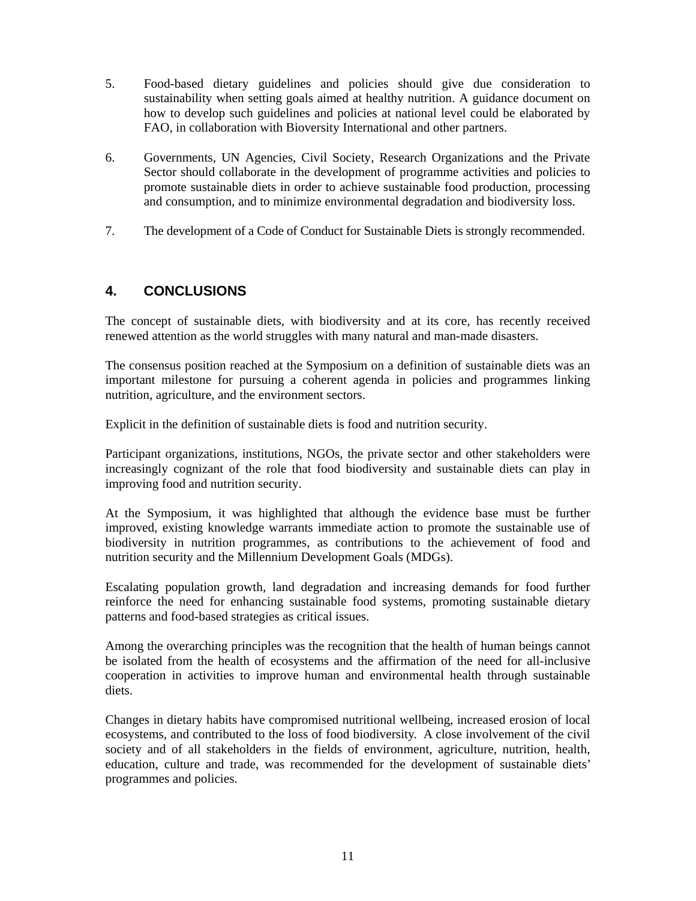- 5. Food-based dietary guidelines and policies should give due consideration to sustainability when setting goals aimed at healthy nutrition. A guidance document on how to develop such guidelines and policies at national level could be elaborated by FAO, in collaboration with Bioversity International and other partners.
- 6. Governments, UN Agencies, Civil Society, Research Organizations and the Private Sector should collaborate in the development of programme activities and policies to promote sustainable diets in order to achieve sustainable food production, processing and consumption, and to minimize environmental degradation and biodiversity loss.
- 7. The development of a Code of Conduct for Sustainable Diets is strongly recommended.

## **4. CONCLUSIONS**

The concept of sustainable diets, with biodiversity and at its core, has recently received renewed attention as the world struggles with many natural and man-made disasters.

The consensus position reached at the Symposium on a definition of sustainable diets was an important milestone for pursuing a coherent agenda in policies and programmes linking nutrition, agriculture, and the environment sectors.

Explicit in the definition of sustainable diets is food and nutrition security.

Participant organizations, institutions, NGOs, the private sector and other stakeholders were increasingly cognizant of the role that food biodiversity and sustainable diets can play in improving food and nutrition security.

At the Symposium, it was highlighted that although the evidence base must be further improved, existing knowledge warrants immediate action to promote the sustainable use of biodiversity in nutrition programmes, as contributions to the achievement of food and nutrition security and the Millennium Development Goals (MDGs).

Escalating population growth, land degradation and increasing demands for food further reinforce the need for enhancing sustainable food systems, promoting sustainable dietary patterns and food-based strategies as critical issues.

Among the overarching principles was the recognition that the health of human beings cannot be isolated from the health of ecosystems and the affirmation of the need for all-inclusive cooperation in activities to improve human and environmental health through sustainable diets.

Changes in dietary habits have compromised nutritional wellbeing, increased erosion of local ecosystems, and contributed to the loss of food biodiversity. A close involvement of the civil society and of all stakeholders in the fields of environment, agriculture, nutrition, health, education, culture and trade, was recommended for the development of sustainable diets' programmes and policies.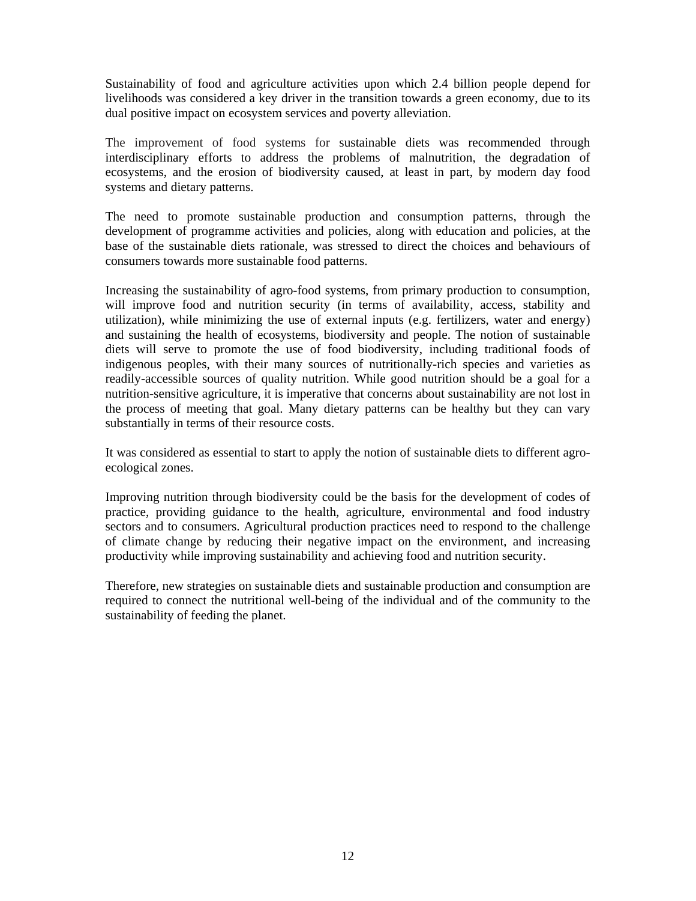Sustainability of food and agriculture activities upon which 2.4 billion people depend for livelihoods was considered a key driver in the transition towards a green economy, due to its dual positive impact on ecosystem services and poverty alleviation.

The improvement of food systems for sustainable diets was recommended through interdisciplinary efforts to address the problems of malnutrition, the degradation of ecosystems, and the erosion of biodiversity caused, at least in part, by modern day food systems and dietary patterns.

The need to promote sustainable production and consumption patterns, through the development of programme activities and policies, along with education and policies, at the base of the sustainable diets rationale, was stressed to direct the choices and behaviours of consumers towards more sustainable food patterns.

Increasing the sustainability of agro-food systems, from primary production to consumption, will improve food and nutrition security (in terms of availability, access, stability and utilization), while minimizing the use of external inputs (e.g. fertilizers, water and energy) and sustaining the health of ecosystems, biodiversity and people. The notion of sustainable diets will serve to promote the use of food biodiversity, including traditional foods of indigenous peoples, with their many sources of nutritionally-rich species and varieties as readily-accessible sources of quality nutrition. While good nutrition should be a goal for a nutrition-sensitive agriculture, it is imperative that concerns about sustainability are not lost in the process of meeting that goal. Many dietary patterns can be healthy but they can vary substantially in terms of their resource costs.

It was considered as essential to start to apply the notion of sustainable diets to different agroecological zones.

Improving nutrition through biodiversity could be the basis for the development of codes of practice, providing guidance to the health, agriculture, environmental and food industry sectors and to consumers. Agricultural production practices need to respond to the challenge of climate change by reducing their negative impact on the environment, and increasing productivity while improving sustainability and achieving food and nutrition security.

Therefore, new strategies on sustainable diets and sustainable production and consumption are required to connect the nutritional well-being of the individual and of the community to the sustainability of feeding the planet.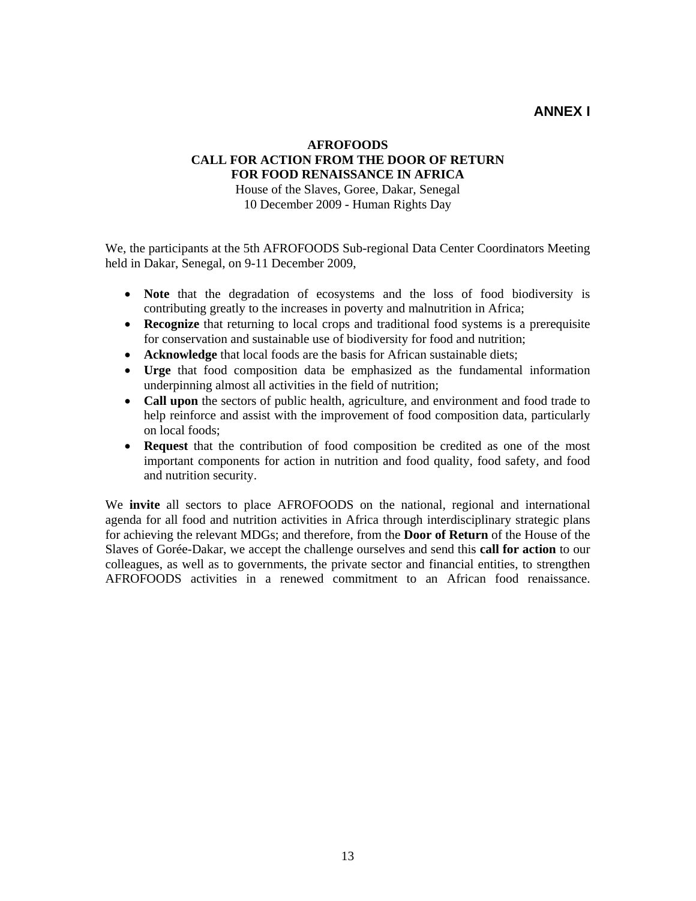## **ANNEX I**

## **AFROFOODS CALL FOR ACTION FROM THE DOOR OF RETURN FOR FOOD RENAISSANCE IN AFRICA**

House of the Slaves, Goree, Dakar, Senegal 10 December 2009 - Human Rights Day

We, the participants at the 5th AFROFOODS Sub-regional Data Center Coordinators Meeting held in Dakar, Senegal, on 9-11 December 2009,

- **Note** that the degradation of ecosystems and the loss of food biodiversity is contributing greatly to the increases in poverty and malnutrition in Africa;
- **Recognize** that returning to local crops and traditional food systems is a prerequisite for conservation and sustainable use of biodiversity for food and nutrition;
- **Acknowledge** that local foods are the basis for African sustainable diets;
- **Urge** that food composition data be emphasized as the fundamental information underpinning almost all activities in the field of nutrition;
- **Call upon** the sectors of public health, agriculture, and environment and food trade to help reinforce and assist with the improvement of food composition data, particularly on local foods;
- **Request** that the contribution of food composition be credited as one of the most important components for action in nutrition and food quality, food safety, and food and nutrition security.

We **invite** all sectors to place AFROFOODS on the national, regional and international agenda for all food and nutrition activities in Africa through interdisciplinary strategic plans for achieving the relevant MDGs; and therefore, from the **Door of Return** of the House of the Slaves of Gorée-Dakar, we accept the challenge ourselves and send this **call for action** to our colleagues, as well as to governments, the private sector and financial entities, to strengthen AFROFOODS activities in a renewed commitment to an African food renaissance.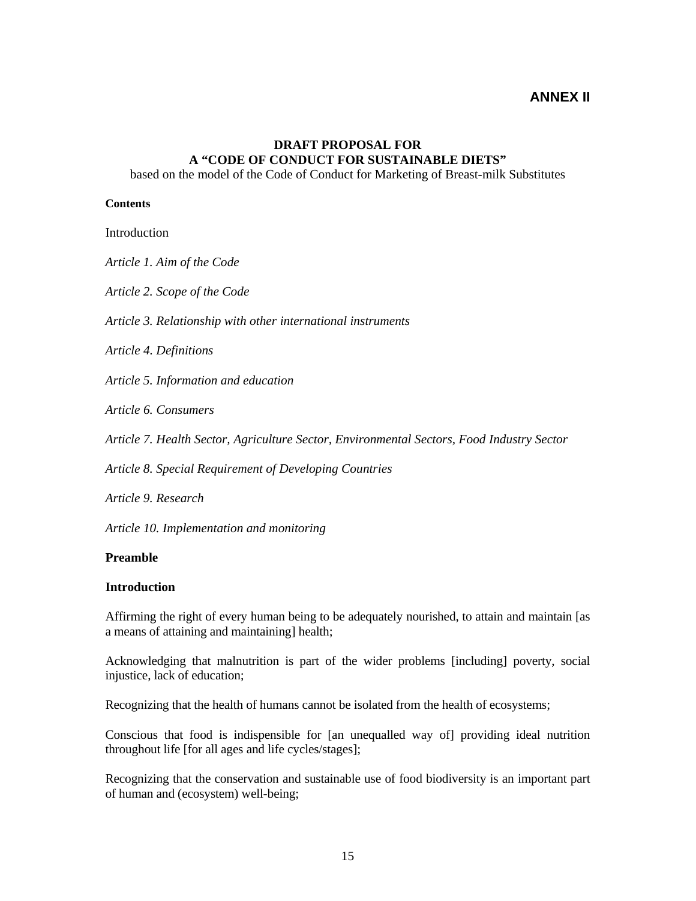## **ANNEX II**

## **DRAFT PROPOSAL FOR A "CODE OF CONDUCT FOR SUSTAINABLE DIETS"**

based on the model of the Code of Conduct for Marketing of Breast-milk Substitutes

#### **Contents**

**Introduction** 

*Article 1. Aim of the Code* 

*Article 2. Scope of the Code* 

*Article 3. Relationship with other international instruments* 

*Article 4. Definitions* 

*Article 5. Information and education* 

*Article 6. Consumers* 

*Article 7. Health Sector, Agriculture Sector, Environmental Sectors, Food Industry Sector* 

*Article 8. Special Requirement of Developing Countries* 

*Article 9. Research* 

*Article 10. Implementation and monitoring*

#### **Preamble**

#### **Introduction**

Affirming the right of every human being to be adequately nourished, to attain and maintain [as a means of attaining and maintaining] health;

Acknowledging that malnutrition is part of the wider problems [including] poverty, social injustice, lack of education;

Recognizing that the health of humans cannot be isolated from the health of ecosystems;

Conscious that food is indispensible for [an unequalled way of] providing ideal nutrition throughout life [for all ages and life cycles/stages];

Recognizing that the conservation and sustainable use of food biodiversity is an important part of human and (ecosystem) well-being;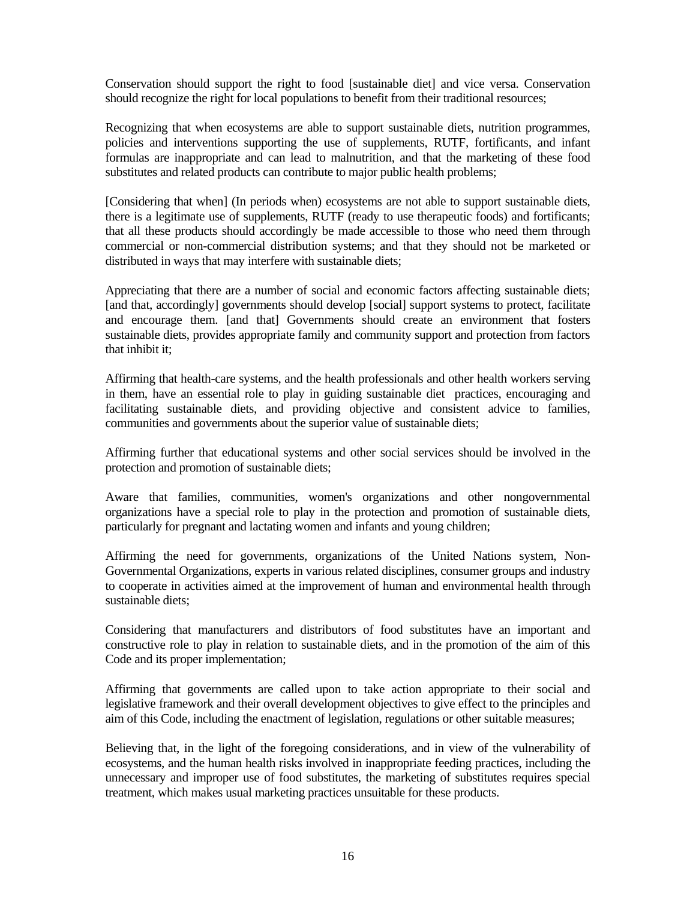Conservation should support the right to food [sustainable diet] and vice versa. Conservation should recognize the right for local populations to benefit from their traditional resources;

Recognizing that when ecosystems are able to support sustainable diets, nutrition programmes, policies and interventions supporting the use of supplements, RUTF, fortificants, and infant formulas are inappropriate and can lead to malnutrition, and that the marketing of these food substitutes and related products can contribute to major public health problems;

[Considering that when] (In periods when) ecosystems are not able to support sustainable diets, there is a legitimate use of supplements, RUTF (ready to use therapeutic foods) and fortificants; that all these products should accordingly be made accessible to those who need them through commercial or non-commercial distribution systems; and that they should not be marketed or distributed in ways that may interfere with sustainable diets;

Appreciating that there are a number of social and economic factors affecting sustainable diets; [and that, accordingly] governments should develop [social] support systems to protect, facilitate and encourage them. [and that] Governments should create an environment that fosters sustainable diets, provides appropriate family and community support and protection from factors that inhibit it;

Affirming that health-care systems, and the health professionals and other health workers serving in them, have an essential role to play in guiding sustainable diet practices, encouraging and facilitating sustainable diets, and providing objective and consistent advice to families, communities and governments about the superior value of sustainable diets;

Affirming further that educational systems and other social services should be involved in the protection and promotion of sustainable diets;

Aware that families, communities, women's organizations and other nongovernmental organizations have a special role to play in the protection and promotion of sustainable diets, particularly for pregnant and lactating women and infants and young children;

Affirming the need for governments, organizations of the United Nations system, Non-Governmental Organizations, experts in various related disciplines, consumer groups and industry to cooperate in activities aimed at the improvement of human and environmental health through sustainable diets;

Considering that manufacturers and distributors of food substitutes have an important and constructive role to play in relation to sustainable diets, and in the promotion of the aim of this Code and its proper implementation;

Affirming that governments are called upon to take action appropriate to their social and legislative framework and their overall development objectives to give effect to the principles and aim of this Code, including the enactment of legislation, regulations or other suitable measures;

Believing that, in the light of the foregoing considerations, and in view of the vulnerability of ecosystems, and the human health risks involved in inappropriate feeding practices, including the unnecessary and improper use of food substitutes, the marketing of substitutes requires special treatment, which makes usual marketing practices unsuitable for these products.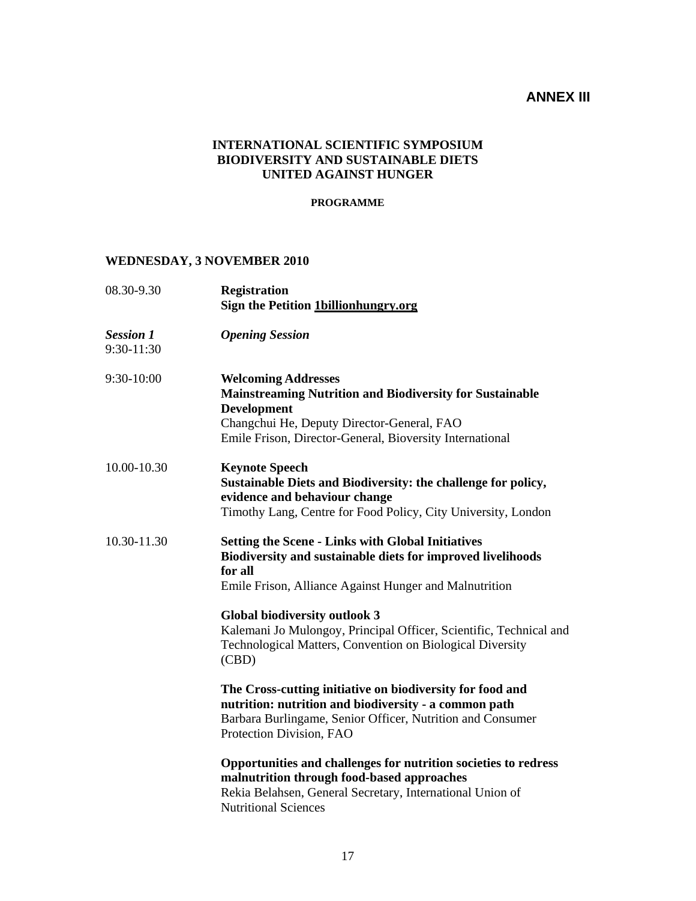## **ANNEX III**

## **INTERNATIONAL SCIENTIFIC SYMPOSIUM BIODIVERSITY AND SUSTAINABLE DIETS UNITED AGAINST HUNGER**

#### **PROGRAMME**

## **WEDNESDAY, 3 NOVEMBER 2010**

| 08.30-9.30                     | <b>Registration</b><br><b>Sign the Petition 1billionhungry.org</b>                                                                                                                                                                                                                                                                                                      |
|--------------------------------|-------------------------------------------------------------------------------------------------------------------------------------------------------------------------------------------------------------------------------------------------------------------------------------------------------------------------------------------------------------------------|
| <b>Session 1</b><br>9:30-11:30 | <b>Opening Session</b>                                                                                                                                                                                                                                                                                                                                                  |
| 9:30-10:00                     | <b>Welcoming Addresses</b><br><b>Mainstreaming Nutrition and Biodiversity for Sustainable</b><br><b>Development</b><br>Changchui He, Deputy Director-General, FAO<br>Emile Frison, Director-General, Bioversity International                                                                                                                                           |
| 10.00-10.30                    | <b>Keynote Speech</b><br>Sustainable Diets and Biodiversity: the challenge for policy,<br>evidence and behaviour change<br>Timothy Lang, Centre for Food Policy, City University, London                                                                                                                                                                                |
| 10.30-11.30                    | <b>Setting the Scene - Links with Global Initiatives</b><br>Biodiversity and sustainable diets for improved livelihoods<br>for all<br>Emile Frison, Alliance Against Hunger and Malnutrition<br><b>Global biodiversity outlook 3</b><br>Kalemani Jo Mulongoy, Principal Officer, Scientific, Technical and<br>Technological Matters, Convention on Biological Diversity |
|                                | (CBD)<br>The Cross-cutting initiative on biodiversity for food and<br>nutrition: nutrition and biodiversity - a common path<br>Barbara Burlingame, Senior Officer, Nutrition and Consumer<br>Protection Division, FAO                                                                                                                                                   |
|                                | Opportunities and challenges for nutrition societies to redress<br>malnutrition through food-based approaches<br>Rekia Belahsen, General Secretary, International Union of<br><b>Nutritional Sciences</b>                                                                                                                                                               |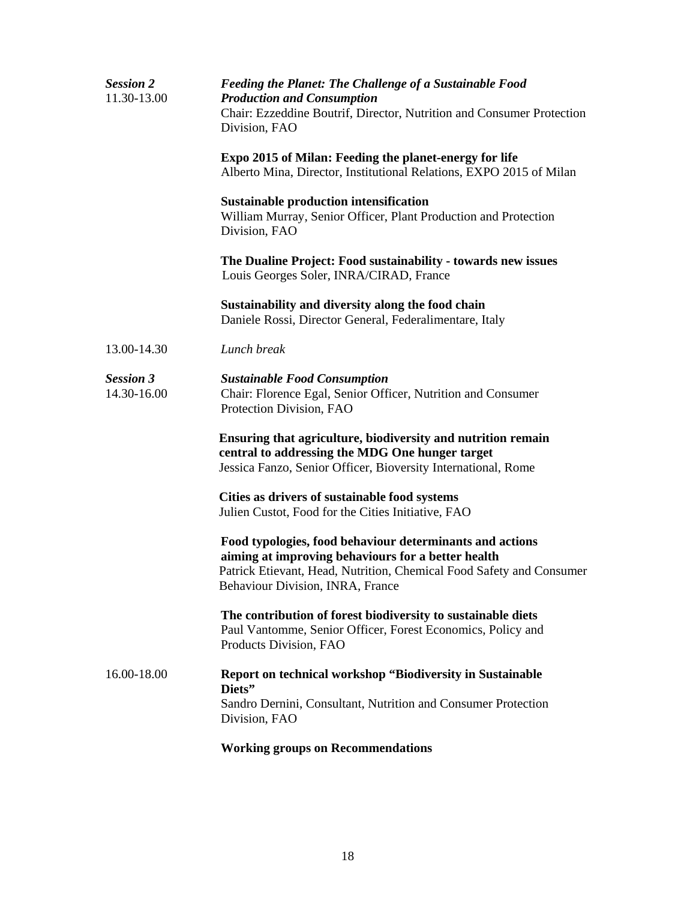| <b>Session 2</b><br>11.30-13.00 | <b>Feeding the Planet: The Challenge of a Sustainable Food</b><br><b>Production and Consumption</b><br>Chair: Ezzeddine Boutrif, Director, Nutrition and Consumer Protection<br>Division, FAO                              |
|---------------------------------|----------------------------------------------------------------------------------------------------------------------------------------------------------------------------------------------------------------------------|
|                                 | Expo 2015 of Milan: Feeding the planet-energy for life<br>Alberto Mina, Director, Institutional Relations, EXPO 2015 of Milan                                                                                              |
|                                 | <b>Sustainable production intensification</b><br>William Murray, Senior Officer, Plant Production and Protection<br>Division, FAO                                                                                          |
|                                 | The Dualine Project: Food sustainability - towards new issues<br>Louis Georges Soler, INRA/CIRAD, France                                                                                                                   |
|                                 | Sustainability and diversity along the food chain<br>Daniele Rossi, Director General, Federalimentare, Italy                                                                                                               |
| 13.00-14.30                     | Lunch break                                                                                                                                                                                                                |
| <b>Session 3</b><br>14.30-16.00 | <b>Sustainable Food Consumption</b><br>Chair: Florence Egal, Senior Officer, Nutrition and Consumer<br>Protection Division, FAO                                                                                            |
|                                 | Ensuring that agriculture, biodiversity and nutrition remain<br>central to addressing the MDG One hunger target<br>Jessica Fanzo, Senior Officer, Bioversity International, Rome                                           |
|                                 | Cities as drivers of sustainable food systems<br>Julien Custot, Food for the Cities Initiative, FAO                                                                                                                        |
|                                 | Food typologies, food behaviour determinants and actions<br>aiming at improving behaviours for a better health<br>Patrick Etievant, Head, Nutrition, Chemical Food Safety and Consumer<br>Behaviour Division, INRA, France |
|                                 | The contribution of forest biodiversity to sustainable diets<br>Paul Vantomme, Senior Officer, Forest Economics, Policy and<br>Products Division, FAO                                                                      |
| 16.00-18.00                     | <b>Report on technical workshop "Biodiversity in Sustainable</b><br>Diets"<br>Sandro Dernini, Consultant, Nutrition and Consumer Protection<br>Division, FAO                                                               |
|                                 | <b>Working groups on Recommendations</b>                                                                                                                                                                                   |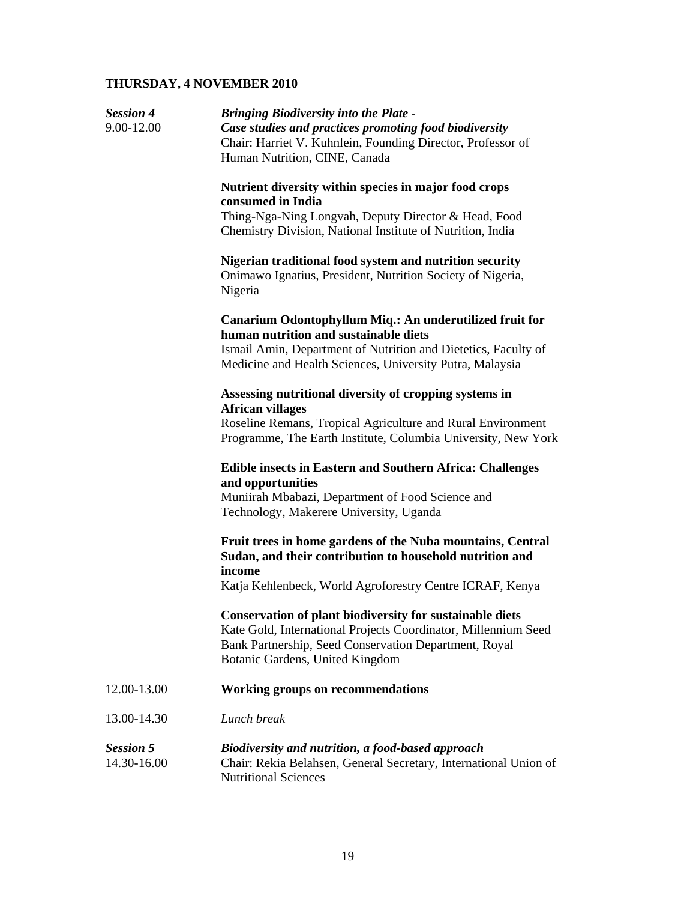## **THURSDAY, 4 NOVEMBER 2010**

| <b>Session 4</b><br>9.00-12.00  | <b>Bringing Biodiversity into the Plate -</b><br>Case studies and practices promoting food biodiversity<br>Chair: Harriet V. Kuhnlein, Founding Director, Professor of<br>Human Nutrition, CINE, Canada                |
|---------------------------------|------------------------------------------------------------------------------------------------------------------------------------------------------------------------------------------------------------------------|
|                                 | Nutrient diversity within species in major food crops<br>consumed in India<br>Thing-Nga-Ning Longvah, Deputy Director & Head, Food<br>Chemistry Division, National Institute of Nutrition, India                       |
|                                 | Nigerian traditional food system and nutrition security<br>Onimawo Ignatius, President, Nutrition Society of Nigeria,<br>Nigeria                                                                                       |
|                                 | Canarium Odontophyllum Miq.: An underutilized fruit for<br>human nutrition and sustainable diets                                                                                                                       |
|                                 | Ismail Amin, Department of Nutrition and Dietetics, Faculty of<br>Medicine and Health Sciences, University Putra, Malaysia                                                                                             |
|                                 | Assessing nutritional diversity of cropping systems in<br><b>African villages</b>                                                                                                                                      |
|                                 | Roseline Remans, Tropical Agriculture and Rural Environment<br>Programme, The Earth Institute, Columbia University, New York                                                                                           |
|                                 | <b>Edible insects in Eastern and Southern Africa: Challenges</b><br>and opportunities                                                                                                                                  |
|                                 | Muniirah Mbabazi, Department of Food Science and<br>Technology, Makerere University, Uganda                                                                                                                            |
|                                 | Fruit trees in home gardens of the Nuba mountains, Central<br>Sudan, and their contribution to household nutrition and<br>income<br>Katja Kehlenbeck, World Agroforestry Centre ICRAF, Kenya                           |
|                                 |                                                                                                                                                                                                                        |
|                                 | Conservation of plant biodiversity for sustainable diets<br>Kate Gold, International Projects Coordinator, Millennium Seed<br>Bank Partnership, Seed Conservation Department, Royal<br>Botanic Gardens, United Kingdom |
| 12.00-13.00                     | <b>Working groups on recommendations</b>                                                                                                                                                                               |
| 13.00-14.30                     | Lunch break                                                                                                                                                                                                            |
| <b>Session 5</b><br>14.30-16.00 | Biodiversity and nutrition, a food-based approach<br>Chair: Rekia Belahsen, General Secretary, International Union of<br><b>Nutritional Sciences</b>                                                                   |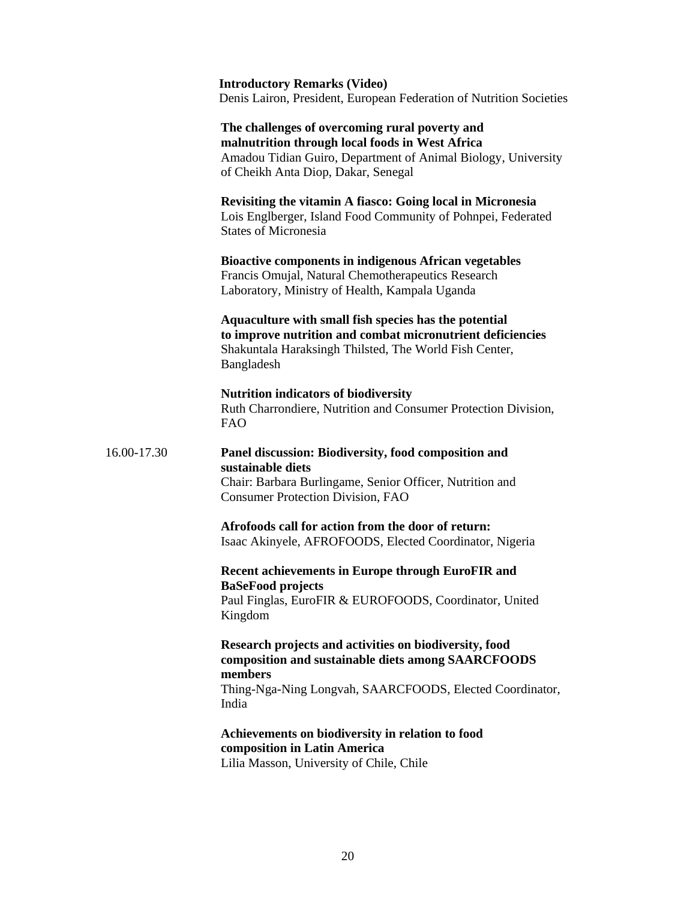**Introductory Remarks (Video)**  Denis Lairon, President, European Federation of Nutrition Societies

 **The challenges of overcoming rural poverty and malnutrition through local foods in West Africa**  Amadou Tidian Guiro, Department of Animal Biology, University of Cheikh Anta Diop, Dakar, Senegal

#### **Revisiting the vitamin A fiasco: Going local in Micronesia**  Lois Englberger, Island Food Community of Pohnpei, Federated States of Micronesia

 **Bioactive components in indigenous African vegetables** Francis Omujal, Natural Chemotherapeutics Research Laboratory, Ministry of Health, Kampala Uganda

 **Aquaculture with small fish species has the potential to improve nutrition and combat micronutrient deficiencies**  Shakuntala Haraksingh Thilsted, The World Fish Center, Bangladesh

 **Nutrition indicators of biodiversity**  Ruth Charrondiere, Nutrition and Consumer Protection Division, FAO

## 16.00-17.30 **Panel discussion: Biodiversity, food composition and sustainable diets**

 Chair: Barbara Burlingame, Senior Officer, Nutrition and Consumer Protection Division, FAO

 **Afrofoods call for action from the door of return:** Isaac Akinyele, AFROFOODS, Elected Coordinator, Nigeria

### **Recent achievements in Europe through EuroFIR and BaSeFood projects**

 Paul Finglas, EuroFIR & EUROFOODS, Coordinator, United Kingdom

#### **Research projects and activities on biodiversity, food composition and sustainable diets among SAARCFOODS members**

 Thing-Nga-Ning Longvah, SAARCFOODS, Elected Coordinator, India

#### **Achievements on biodiversity in relation to food composition in Latin America** Lilia Masson, University of Chile, Chile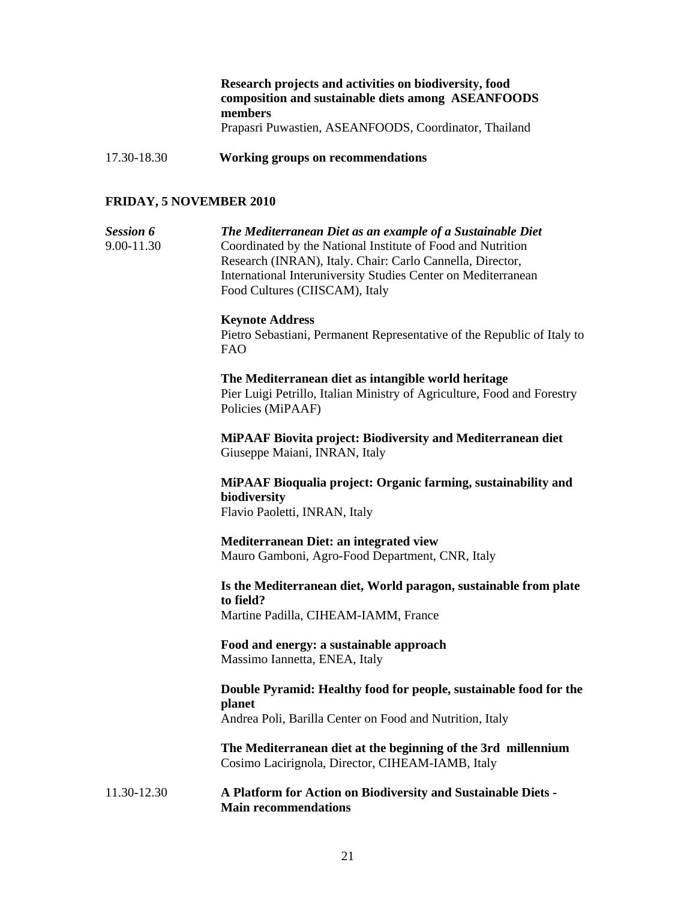#### **Research projects and activities on biodiversity, food composition and sustainable diets among ASEANFOODS members** Prapasri Puwastien, ASEANFOODS, Coordinator, Thailand

17.30-18.30 **Working groups on recommendations** 

#### **FRIDAY, 5 NOVEMBER 2010**

*Session 6 The Mediterranean Diet as an example of a Sustainable Diet*  9.00-11.30Coordinated by the National Institute of Food and Nutrition Research (INRAN), Italy. Chair: Carlo Cannella, Director, International Interuniversity Studies Center on Mediterranean Food Cultures (CIISCAM), Italy

#### **Keynote Address**

Pietro Sebastiani, Permanent Representative of the Republic of Italy to FAO

#### **The Mediterranean diet as intangible world heritage**

Pier Luigi Petrillo, Italian Ministry of Agriculture, Food and Forestry Policies (MiPAAF)

**MiPAAF Biovita project: Biodiversity and Mediterranean diet**  Giuseppe Maiani, INRAN, Italy

**MiPAAF Bioqualia project: Organic farming, sustainability and biodiversity**  Flavio Paoletti, INRAN, Italy

**Mediterranean Diet: an integrated view**  Mauro Gamboni, Agro-Food Department, CNR, Italy

**Is the Mediterranean diet, World paragon, sustainable from plate to field?** 

Martine Padilla, CIHEAM-IAMM, France

 **Food and energy: a sustainable approach**  Massimo Iannetta, ENEA, Italy

#### **Double Pyramid: Healthy food for people, sustainable food for the planet**  Andrea Poli, Barilla Center on Food and Nutrition, Italy

**The Mediterranean diet at the beginning of the 3rd millennium**  Cosimo Lacirignola, Director, CIHEAM-IAMB, Italy

#### 11.30-12.30 **A Platform for Action on Biodiversity and Sustainable Diets - Main recommendations**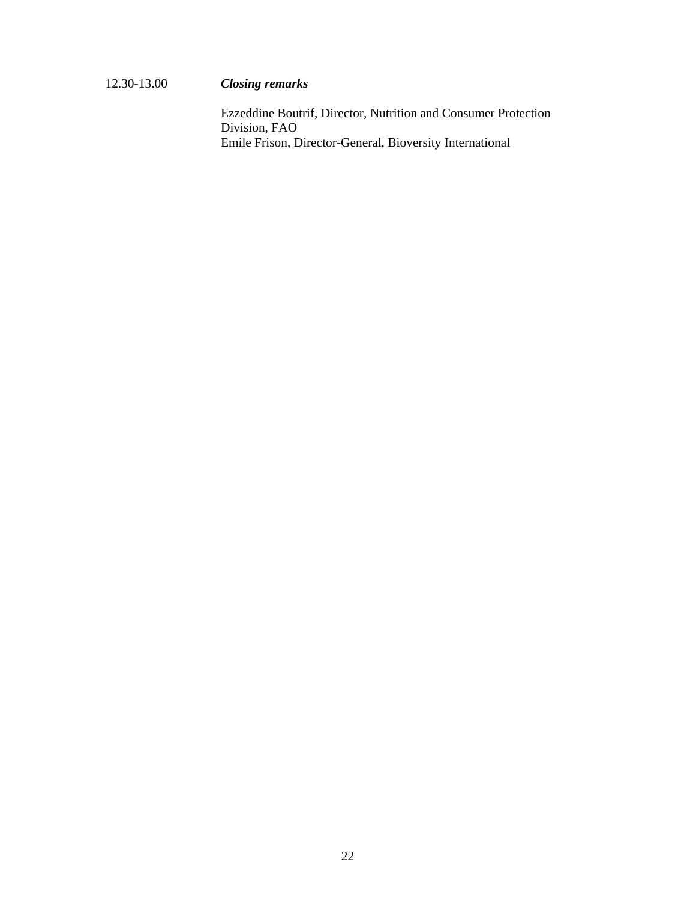## 12.30-13.00 *Closing remarks*

Ezzeddine Boutrif, Director, Nutrition and Consumer Protection Division, FAO Emile Frison, Director-General, Bioversity International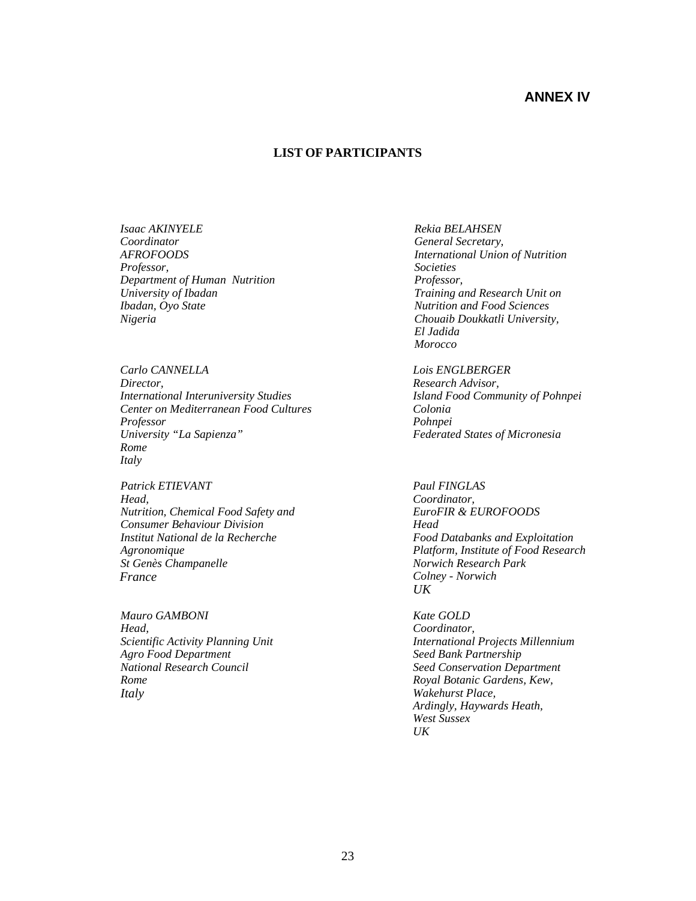## **ANNEX IV**

#### **LIST OF PARTICIPANTS**

*Isaac AKINYELE Coordinator AFROFOODS Professor, Department of Human Nutrition University of Ibadan Ibadan, Oyo State Nigeria* 

*Carlo CANNELLA Director, International Interuniversity Studies Center on Mediterranean Food Cultures Professor University "La Sapienza" Rome Italy* 

*Patrick ETIEVANT Head, Nutrition, Chemical Food Safety and Consumer Behaviour Division Institut National de la Recherche Agronomique St Genès Champanelle France*

*Mauro GAMBONI Head, Scientific Activity Planning Unit Agro Food Department National Research Council Rome Italy*

 *Rekia BELAHSEN General Secretary, International Union of Nutrition Societies Professor, Training and Research Unit on Nutrition and Food Sciences Chouaib Doukkatli University, El Jadida Morocco* 

 *Lois ENGLBERGER Research Advisor, Island Food Community of Pohnpei Colonia Pohnpei Federated States of Micronesia* 

 *Paul FINGLAS Coordinator, EuroFIR & EUROFOODS Head Food Databanks and Exploitation Platform, Institute of Food Research Norwich Research Park Colney - Norwich UK*

 *Kate GOLD Coordinator, International Projects Millennium Seed Bank Partnership Seed Conservation Department Royal Botanic Gardens, Kew, Wakehurst Place, Ardingly, Haywards Heath, West Sussex UK*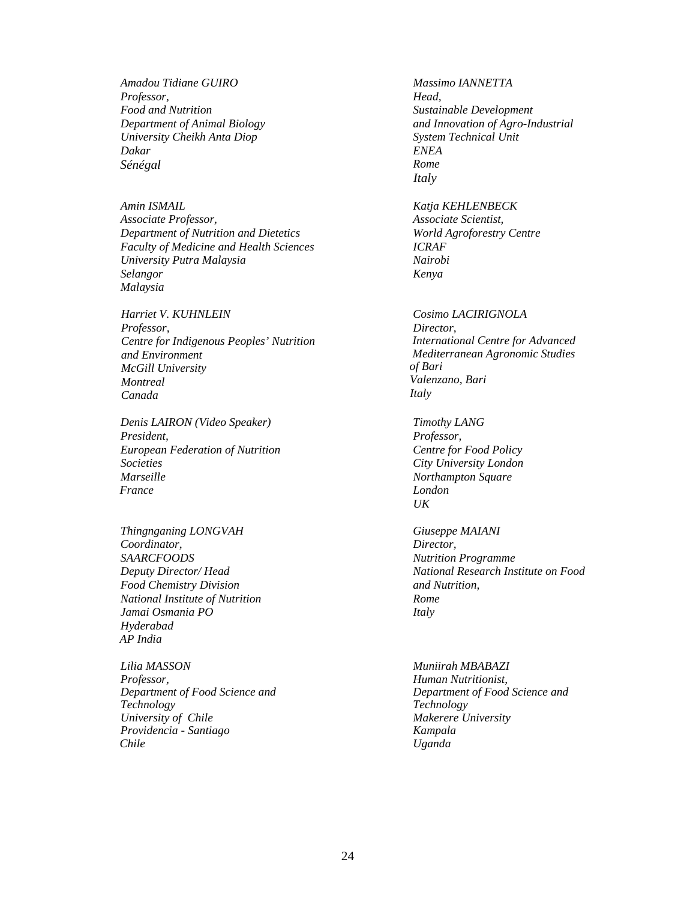*Amadou Tidiane GUIRO Professor, Food and Nutrition Department of Animal Biology University Cheikh Anta Diop Dakar Sénégal*

*Amin ISMAIL Associate Professor, Department of Nutrition and Dietetics Faculty of Medicine and Health Sciences University Putra Malaysia Selangor Malaysia* 

*Harriet V. KUHNLEIN Professor, Centre for Indigenous Peoples' Nutrition and Environment McGill University Montreal Canada* 

*Denis LAIRON (Video Speaker) President, European Federation of Nutrition Societies Marseille France* 

*Thingnganing LONGVAH Coordinator, SAARCFOODS Deputy Director/ Head Food Chemistry Division National Institute of Nutrition Jamai Osmania PO Hyderabad AP India* 

*Lilia MASSON Professor, Department of Food Science and Technology University of Chile Providencia - Santiago Chile*

 *Massimo IANNETTA Head, Sustainable Development and Innovation of Agro-Industrial System Technical Unit ENEA Rome Italy*

 *Katja KEHLENBECK Associate Scientist, World Agroforestry Centre ICRAF Nairobi Kenya* 

 *Cosimo LACIRIGNOLA Director, International Centre for Advanced Mediterranean Agronomic Studies of Bari Valenzano, Bari Italy* 

 *Timothy LANG Professor, Centre for Food Policy City University London Northampton Square London UK* 

 *Giuseppe MAIANI Director, Nutrition Programme National Research Institute on Food and Nutrition, Rome Italy* 

 *Muniirah MBABAZI Human Nutritionist, Department of Food Science and Technology Makerere University Kampala Uganda*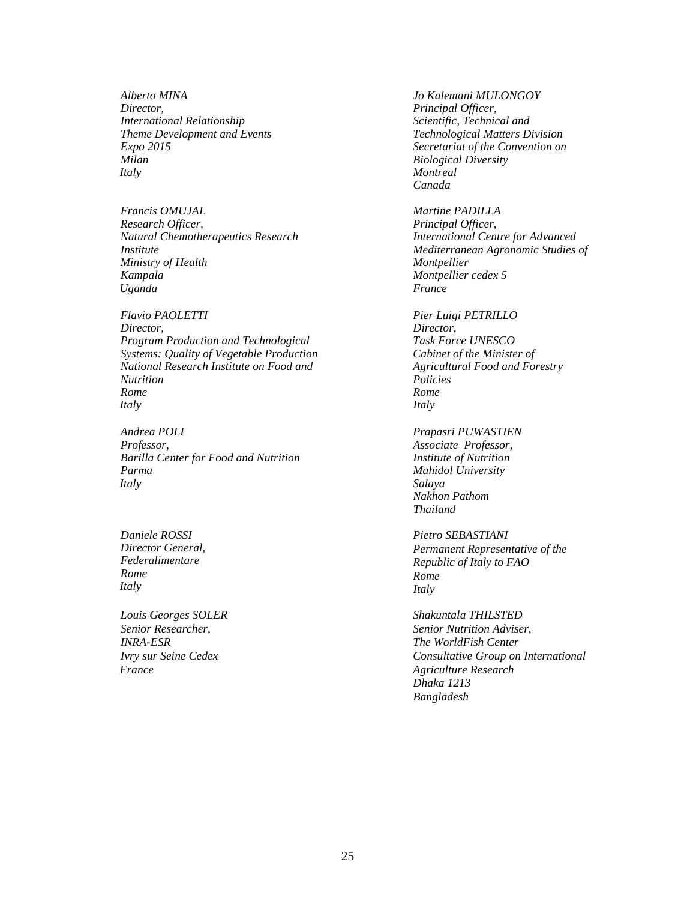*Alberto MINA Director, International Relationship Theme Development and Events Expo 2015 Milan Italy*

*Francis OMUJAL Research Officer, Natural Chemotherapeutics Research Institute Ministry of Health Kampala Uganda*

*Flavio PAOLETTI Director, Program Production and Technological Systems: Quality of Vegetable Production National Research Institute on Food and Nutrition Rome Italy*

*Andrea POLI Professor, Barilla Center for Food and Nutrition Parma Italy*

*Daniele ROSSI Director General, Federalimentare Rome Italy* 

*Louis Georges SOLER Senior Researcher, INRA-ESR Ivry sur Seine Cedex France* 

 *Jo Kalemani MULONGOY Principal Officer, Scientific, Technical and Technological Matters Division Secretariat of the Convention on Biological Diversity Montreal Canada* 

 *Martine PADILLA Principal Officer, International Centre for Advanced Mediterranean Agronomic Studies of Montpellier Montpellier cedex 5 France* 

 *Pier Luigi PETRILLO Director, Task Force UNESCO Cabinet of the Minister of Agricultural Food and Forestry Policies Rome Italy* 

 *Prapasri PUWASTIEN Associate Professor, Institute of Nutrition Mahidol University Salaya Nakhon Pathom Thailand* 

*Pietro SEBASTIANI Permanent Representative of the Republic of Italy to FAO Rome Italy* 

 *Shakuntala THILSTED Senior Nutrition Adviser, The WorldFish Center Consultative Group on International Agriculture Research Dhaka 1213 Bangladesh*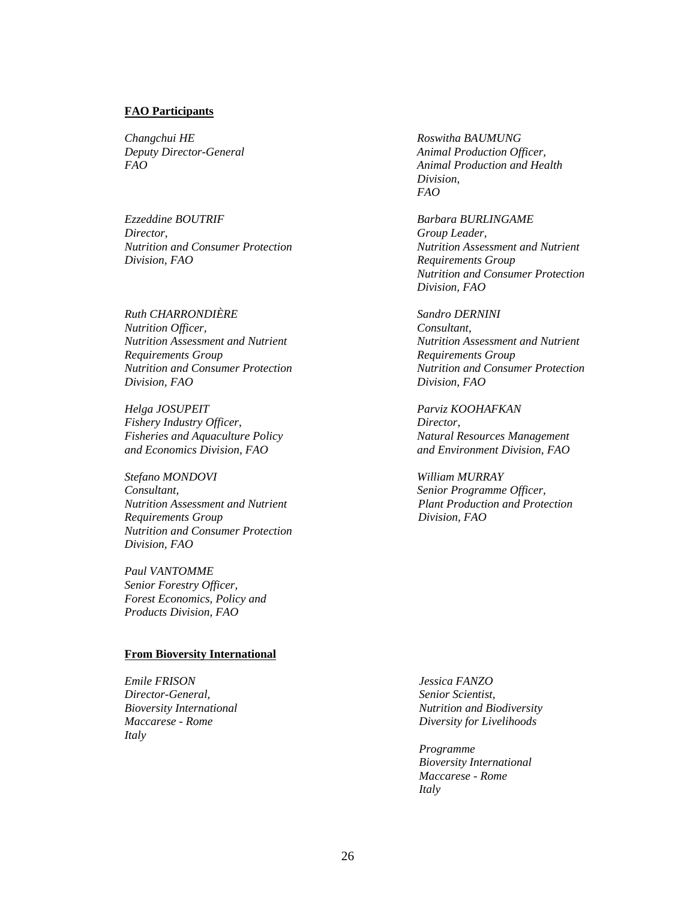#### **FAO Participants**

*Changchui HE Deputy Director-General FAO* 

*Ezzeddine BOUTRIF Director, Nutrition and Consumer Protection Division, FAO* 

*Ruth CHARRONDIÈRE Nutrition Officer, Nutrition Assessment and Nutrient Requirements Group Nutrition and Consumer Protection Division, FAO* 

*Helga JOSUPEIT Fishery Industry Officer, Fisheries and Aquaculture Policy and Economics Division, FAO* 

*Stefano MONDOVI Consultant, Nutrition Assessment and Nutrient Requirements Group Nutrition and Consumer Protection Division, FAO* 

*Paul VANTOMME Senior Forestry Officer, Forest Economics, Policy and Products Division, FAO* 

#### **From Bioversity International**

*Emile FRISON Director-General, Bioversity International Maccarese - Rome Italy* 

 *Roswitha BAUMUNG Animal Production Officer, Animal Production and Health Division, FAO* 

 *Barbara BURLINGAME Group Leader, Nutrition Assessment and Nutrient Requirements Group Nutrition and Consumer Protection Division, FAO* 

 *Sandro DERNINI Consultant, Nutrition Assessment and Nutrient Requirements Group Nutrition and Consumer Protection Division, FAO* 

 *Parviz KOOHAFKAN Director, Natural Resources Management and Environment Division, FAO* 

 *William MURRAY Senior Programme Officer, Plant Production and Protection Division, FAO* 

 *Jessica FANZO Senior Scientist, Nutrition and Biodiversity Diversity for Livelihoods* 

*Programme Bioversity International Maccarese - Rome Italy*